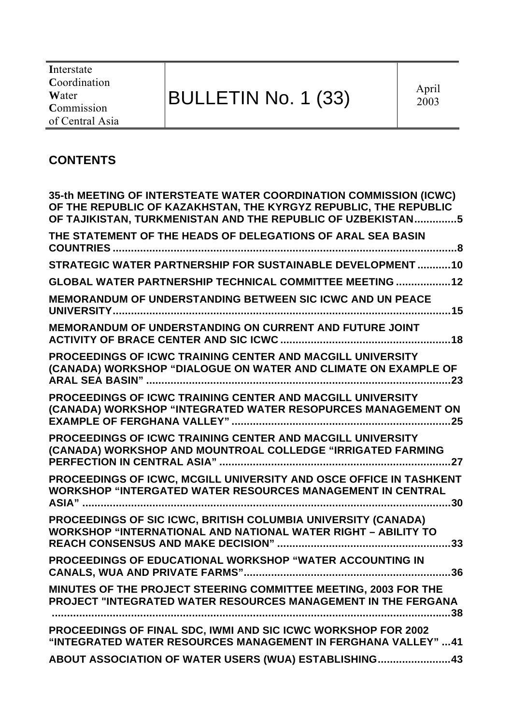**I**nterstate **C**oordination **W**ater **C**ommission of Central Asia

# BULLETIN No. 1 (33)

# **CONTENTS**

| 35-th MEETING OF INTERSTEATE WATER COORDINATION COMMISSION (ICWC)<br>OF THE REPUBLIC OF KAZAKHSTAN, THE KYRGYZ REPUBLIC, THE REPUBLIC<br>OF TAJIKISTAN, TURKMENISTAN AND THE REPUBLIC OF UZBEKISTAN5 |
|------------------------------------------------------------------------------------------------------------------------------------------------------------------------------------------------------|
| THE STATEMENT OF THE HEADS OF DELEGATIONS OF ARAL SEA BASIN                                                                                                                                          |
| STRATEGIC WATER PARTNERSHIP FOR SUSTAINABLE DEVELOPMENT10                                                                                                                                            |
| GLOBAL WATER PARTNERSHIP TECHNICAL COMMITTEE MEETING  12                                                                                                                                             |
| <b>MEMORANDUM OF UNDERSTANDING BETWEEN SIC ICWC AND UN PEACE</b>                                                                                                                                     |
| MEMORANDUM OF UNDERSTANDING ON CURRENT AND FUTURE JOINT                                                                                                                                              |
| PROCEEDINGS OF ICWC TRAINING CENTER AND MACGILL UNIVERSITY<br>(CANADA) WORKSHOP "DIALOGUE ON WATER AND CLIMATE ON EXAMPLE OF                                                                         |
| PROCEEDINGS OF ICWC TRAINING CENTER AND MACGILL UNIVERSITY<br>(CANADA) WORKSHOP "INTEGRATED WATER RESOPURCES MANAGEMENT ON                                                                           |
| PROCEEDINGS OF ICWC TRAINING CENTER AND MACGILL UNIVERSITY<br>(CANADA) WORKSHOP AND MOUNTROAL COLLEDGE "IRRIGATED FARMING                                                                            |
| PROCEEDINGS OF ICWC, MCGILL UNIVERSITY AND OSCE OFFICE IN TASHKENT<br><b>WORKSHOP "INTERGATED WATER RESOURCES MANAGEMENT IN CENTRAL</b><br>.30                                                       |
| PROCEEDINGS OF SIC ICWC, BRITISH COLUMBIA UNIVERSITY (CANADA)<br><b>WORKSHOP "INTERNATIONAL AND NATIONAL WATER RIGHT - ABILITY TO</b><br>.33                                                         |
| PROCEEDINGS OF EDUCATIONAL WORKSHOP "WATER ACCOUNTING IN<br>36                                                                                                                                       |
| MINUTES OF THE PROJECT STEERING COMMITTEE MEETING, 2003 FOR THE<br>PROJECT "INTEGRATED WATER RESOURCES MANAGEMENT IN THE FERGANA<br>$\ldots$ 38                                                      |
| PROCEEDINGS OF FINAL SDC, IWMI AND SIC ICWC WORKSHOP FOR 2002<br>"INTEGRATED WATER RESOURCES MANAGEMENT IN FERGHANA VALLEY" 41                                                                       |
| ABOUT ASSOCIATION OF WATER USERS (WUA) ESTABLISHING43                                                                                                                                                |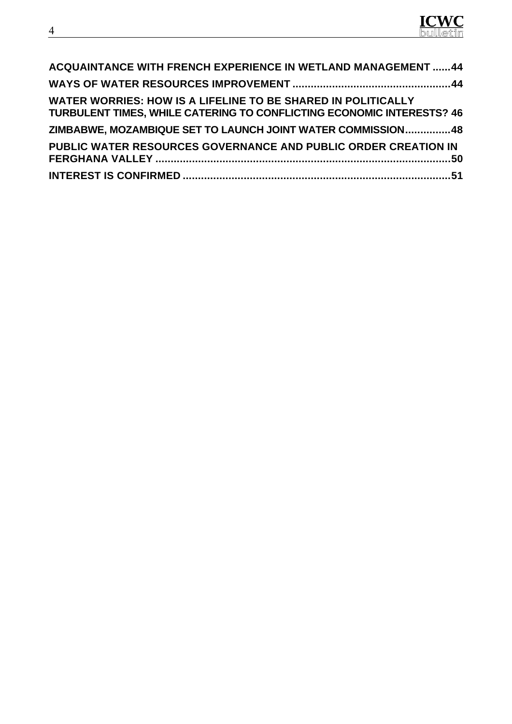

| <b>ACQUAINTANCE WITH FRENCH EXPERIENCE IN WETLAND MANAGEMENT 44</b>                                                                          |  |
|----------------------------------------------------------------------------------------------------------------------------------------------|--|
|                                                                                                                                              |  |
| WATER WORRIES: HOW IS A LIFELINE TO BE SHARED IN POLITICALLY<br><b>TURBULENT TIMES, WHILE CATERING TO CONFLICTING ECONOMIC INTERESTS? 46</b> |  |
| ZIMBABWE, MOZAMBIQUE SET TO LAUNCH JOINT WATER COMMISSION48                                                                                  |  |
| PUBLIC WATER RESOURCES GOVERNANCE AND PUBLIC ORDER CREATION IN                                                                               |  |
|                                                                                                                                              |  |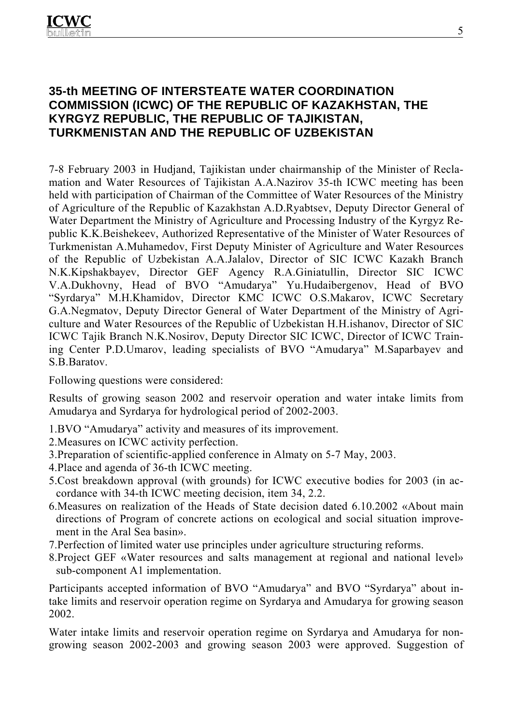## **35-th MEETING OF INTERSTEATE WATER COORDINATION COMMISSION (ICWC) OF THE REPUBLIC OF KAZAKHSTAN, THE KYRGYZ REPUBLIC, THE REPUBLIC OF TAJIKISTAN, TURKMENISTAN AND THE REPUBLIC OF UZBEKISTAN**

7-8 February 2003 in Hudjand, Tajikistan under chairmanship of the Minister of Reclamation and Water Resources of Tajikistan A.A.Nazirov 35-th ICWC meeting has been held with participation of Chairman of the Committee of Water Resources of the Ministry of Agriculture of the Republic of Kazakhstan A.D.Ryabtsev, Deputy Director General of Water Department the Ministry of Agriculture and Processing Industry of the Kyrgyz Republic K.K.Beishekeev, Authorized Representative of the Minister of Water Resources of Turkmenistan A.Muhamedov, First Deputy Minister of Agriculture and Water Resources of the Republic of Uzbekistan A.A.Jalalov, Director of SIC ICWC Kazakh Branch N.K.Kipshakbayev, Director GEF Agency R.A.Giniatullin, Director SIC ICWC V.A.Dukhovny, Head of BVO "Amudarya" Yu.Hudaibergenov, Head of BVO "Syrdarya" M.H.Khamidov, Director KMC ICWC O.S.Makarov, ICWC Secretary G.A.Negmatov, Deputy Director General of Water Department of the Ministry of Agriculture and Water Resources of the Republic of Uzbekistan H.H.ishanov, Director of SIC ICWC Tajik Branch N.K.Nosirov, Deputy Director SIC ICWC, Director of ICWC Training Center P.D.Umarov, leading specialists of BVO "Amudarya" M.Saparbayev and S.B.Baratov.

Following questions were considered:

Results of growing season 2002 and reservoir operation and water intake limits from Amudarya and Syrdarya for hydrological period of 2002-2003.

- 1.BVO "Amudarya" activity and measures of its improvement.
- 2.Measures on ICWC activity perfection.
- 3.Preparation of scientific-applied conference in Almaty on 5-7 May, 2003.
- 4.Place and agenda of 36-th ICWC meeting.
- 5.Cost breakdown approval (with grounds) for ICWC executive bodies for 2003 (in accordance with 34-th ICWC meeting decision, item 34, 2.2.
- 6.Measures on realization of the Heads of State decision dated 6.10.2002 «About main directions of Program of concrete actions on ecological and social situation improvement in the Aral Sea basin».
- 7.Perfection of limited water use principles under agriculture structuring reforms.
- 8.Project GEF «Water resources and salts management at regional and national level» sub-component A1 implementation.

Participants accepted information of BVO "Amudarya" and BVO "Syrdarya" about intake limits and reservoir operation regime on Syrdarya and Amudarya for growing season 2002.

Water intake limits and reservoir operation regime on Syrdarya and Amudarya for nongrowing season 2002-2003 and growing season 2003 were approved. Suggestion of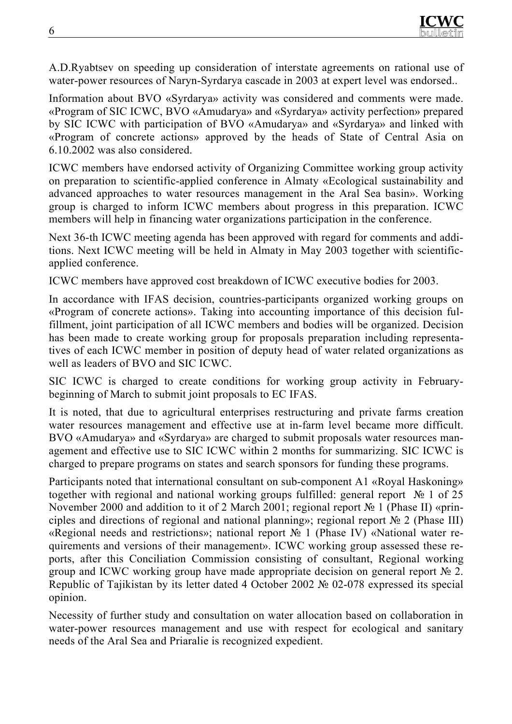A.D.Ryabtsev on speeding up consideration of interstate agreements on rational use of water-power resources of Naryn-Syrdarya cascade in 2003 at expert level was endorsed..

Information about BVO «Syrdarya» activity was considered and comments were made. «Program of SIC ICWC, BVO «Amudarya» and «Syrdarya» activity perfection» prepared by SIC ICWC with participation of BVO «Amudarya» and «Syrdarya» and linked with «Program of concrete actions» approved by the heads of State of Central Asia on 6.10.2002 was also considered.

ICWC members have endorsed activity of Organizing Committee working group activity on preparation to scientific-applied conference in Almaty «Ecological sustainability and advanced approaches to water resources management in the Aral Sea basin». Working group is charged to inform ICWC members about progress in this preparation. ICWC members will help in financing water organizations participation in the conference.

Next 36-th ICWC meeting agenda has been approved with regard for comments and additions. Next ICWC meeting will be held in Almaty in May 2003 together with scientificapplied conference.

ICWC members have approved cost breakdown of ICWC executive bodies for 2003.

In accordance with IFAS decision, countries-participants organized working groups on «Program of concrete actions». Taking into accounting importance of this decision fulfillment, joint participation of all ICWC members and bodies will be organized. Decision has been made to create working group for proposals preparation including representatives of each ICWC member in position of deputy head of water related organizations as well as leaders of BVO and SIC ICWC.

SIC ICWC is charged to create conditions for working group activity in Februarybeginning of March to submit joint proposals to EC IFAS.

It is noted, that due to agricultural enterprises restructuring and private farms creation water resources management and effective use at in-farm level became more difficult. BVO «Amudarya» and «Syrdarya» are charged to submit proposals water resources management and effective use to SIC ICWC within 2 months for summarizing. SIC ICWC is charged to prepare programs on states and search sponsors for funding these programs.

Participants noted that international consultant on sub-component A1 «Royal Haskoning» together with regional and national working groups fulfilled: general report № 1 of 25 November 2000 and addition to it of 2 March 2001; regional report № 1 (Phase II) «principles and directions of regional and national planning»; regional report № 2 (Phase III) «Regional needs and restrictions»; national report № 1 (Phase IV) «National water requirements and versions of their management». ICWC working group assessed these reports, after this Conciliation Commission consisting of consultant, Regional working group and ICWC working group have made appropriate decision on general report № 2. Republic of Tajikistan by its letter dated 4 October 2002 № 02-078 expressed its special opinion.

Necessity of further study and consultation on water allocation based on collaboration in water-power resources management and use with respect for ecological and sanitary needs of the Aral Sea and Priaralie is recognized expedient.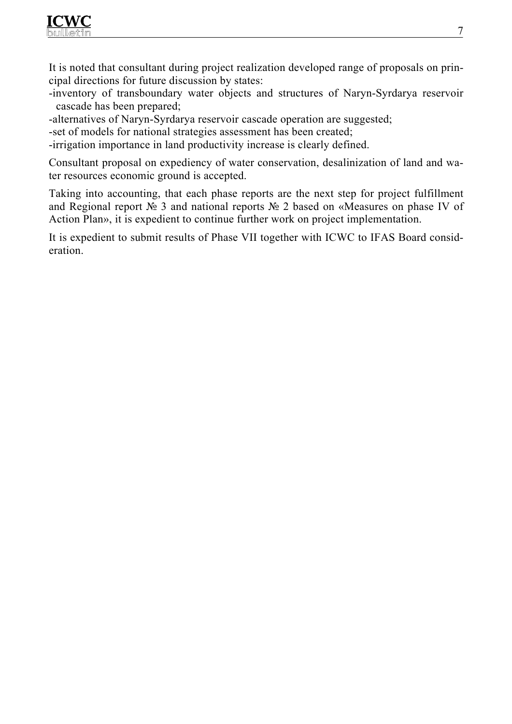

It is noted that consultant during project realization developed range of proposals on principal directions for future discussion by states:

-inventory of transboundary water objects and structures of Naryn-Syrdarya reservoir cascade has been prepared;

-alternatives of Naryn-Syrdarya reservoir cascade operation are suggested;

-set of models for national strategies assessment has been created;

-irrigation importance in land productivity increase is clearly defined.

Consultant proposal on expediency of water conservation, desalinization of land and water resources economic ground is accepted.

Taking into accounting, that each phase reports are the next step for project fulfillment and Regional report № 3 and national reports № 2 based on «Measures on phase IV of Action Plan», it is expedient to continue further work on project implementation.

It is expedient to submit results of Phase VII together with ICWC to IFAS Board consideration.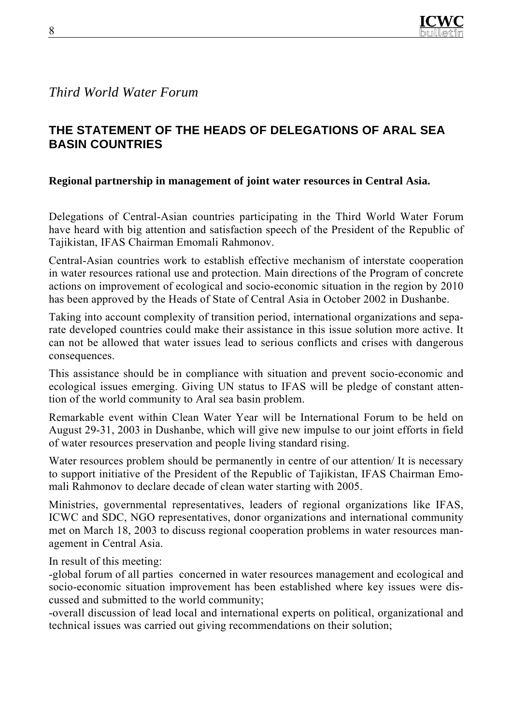# *Third World Water Forum*

# **THE STATEMENT OF THE HEADS OF DELEGATIONS OF ARAL SEA BASIN COUNTRIES**

## **Regional partnership in management of joint water resources in Central Asia.**

Delegations of Central-Asian countries participating in the Third World Water Forum have heard with big attention and satisfaction speech of the President of the Republic of Tajikistan, IFAS Chairman Emomali Rahmonov.

Central-Asian countries work to establish effective mechanism of interstate cooperation in water resources rational use and protection. Main directions of the Program of concrete actions on improvement of ecological and socio-economic situation in the region by 2010 has been approved by the Heads of State of Central Asia in October 2002 in Dushanbe.

Taking into account complexity of transition period, international organizations and separate developed countries could make their assistance in this issue solution more active. It can not be allowed that water issues lead to serious conflicts and crises with dangerous consequences.

This assistance should be in compliance with situation and prevent socio-economic and ecological issues emerging. Giving UN status to IFAS will be pledge of constant attention of the world community to Aral sea basin problem.

Remarkable event within Clean Water Year will be International Forum to be held on August 29-31, 2003 in Dushanbe, which will give new impulse to our joint efforts in field of water resources preservation and people living standard rising.

Water resources problem should be permanently in centre of our attention/ It is necessary to support initiative of the President of the Republic of Tajikistan, IFAS Chairman Emomali Rahmonov to declare decade of clean water starting with 2005.

Ministries, governmental representatives, leaders of regional organizations like IFAS, ICWC and SDC, NGO representatives, donor organizations and international community met on March 18, 2003 to discuss regional cooperation problems in water resources management in Central Asia.

In result of this meeting:

-global forum of all parties concerned in water resources management and ecological and socio-economic situation improvement has been established where key issues were discussed and submitted to the world community;

-overall discussion of lead local and international experts on political, organizational and technical issues was carried out giving recommendations on their solution;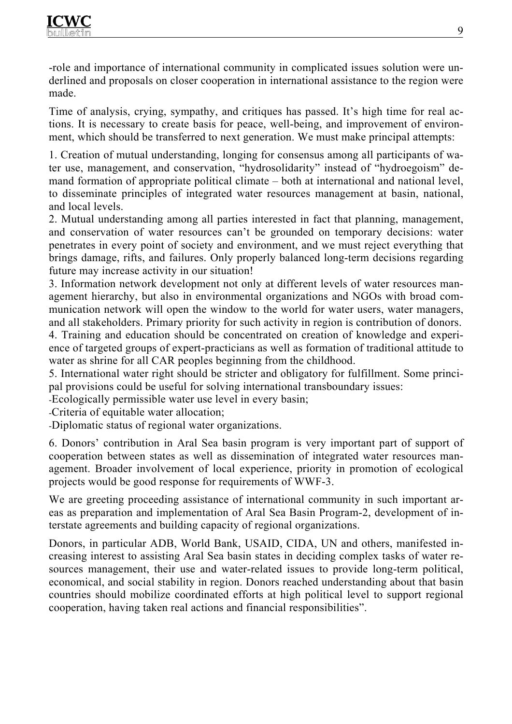-role and importance of international community in complicated issues solution were underlined and proposals on closer cooperation in international assistance to the region were made.

Time of analysis, crying, sympathy, and critiques has passed. It's high time for real actions. It is necessary to create basis for peace, well-being, and improvement of environment, which should be transferred to next generation. We must make principal attempts:

1. Creation of mutual understanding, longing for consensus among all participants of water use, management, and conservation, "hydrosolidarity" instead of "hydroegoism" demand formation of appropriate political climate – both at international and national level, to disseminate principles of integrated water resources management at basin, national, and local levels.

2. Mutual understanding among all parties interested in fact that planning, management, and conservation of water resources can't be grounded on temporary decisions: water penetrates in every point of society and environment, and we must reject everything that brings damage, rifts, and failures. Only properly balanced long-term decisions regarding future may increase activity in our situation!

3. Information network development not only at different levels of water resources management hierarchy, but also in environmental organizations and NGOs with broad communication network will open the window to the world for water users, water managers, and all stakeholders. Primary priority for such activity in region is contribution of donors.

4. Training and education should be concentrated on creation of knowledge and experience of targeted groups of expert-practicians as well as formation of traditional attitude to water as shrine for all CAR peoples beginning from the childhood.

5. International water right should be stricter and obligatory for fulfillment. Some principal provisions could be useful for solving international transboundary issues:

-Ecologically permissible water use level in every basin;

-Criteria of equitable water allocation;

-Diplomatic status of regional water organizations.

6. Donors' contribution in Aral Sea basin program is very important part of support of cooperation between states as well as dissemination of integrated water resources management. Broader involvement of local experience, priority in promotion of ecological projects would be good response for requirements of WWF-3.

We are greeting proceeding assistance of international community in such important areas as preparation and implementation of Aral Sea Basin Program-2, development of interstate agreements and building capacity of regional organizations.

Donors, in particular ADB, World Bank, USAID, CIDA, UN and others, manifested increasing interest to assisting Aral Sea basin states in deciding complex tasks of water resources management, their use and water-related issues to provide long-term political, economical, and social stability in region. Donors reached understanding about that basin countries should mobilize coordinated efforts at high political level to support regional cooperation, having taken real actions and financial responsibilities".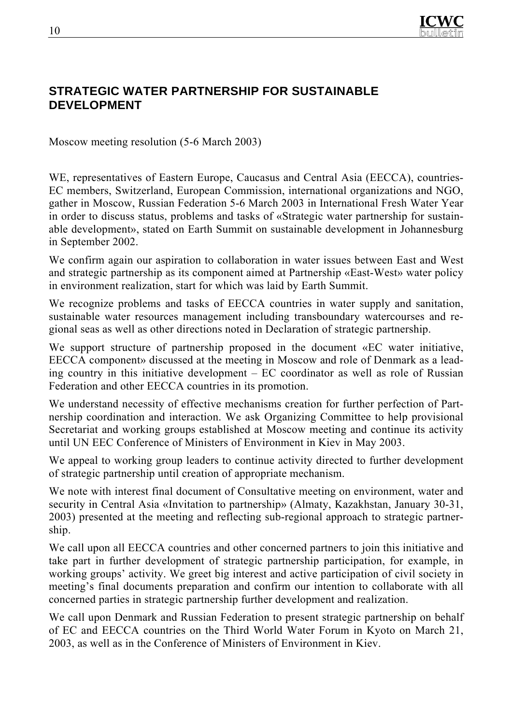

## **STRATEGIC WATER PARTNERSHIP FOR SUSTAINABLE DEVELOPMENT**

Moscow meeting resolution (5-6 March 2003)

WE, representatives of Eastern Europe, Caucasus and Central Asia (EECCA), countries-EC members, Switzerland, European Commission, international organizations and NGO, gather in Moscow, Russian Federation 5-6 March 2003 in International Fresh Water Year in order to discuss status, problems and tasks of «Strategic water partnership for sustainable development», stated on Earth Summit on sustainable development in Johannesburg in September 2002.

We confirm again our aspiration to collaboration in water issues between East and West and strategic partnership as its component aimed at Partnership «East-West» water policy in environment realization, start for which was laid by Earth Summit.

We recognize problems and tasks of EECCA countries in water supply and sanitation, sustainable water resources management including transboundary watercourses and regional seas as well as other directions noted in Declaration of strategic partnership.

We support structure of partnership proposed in the document «EC water initiative, EECCA component» discussed at the meeting in Moscow and role of Denmark as a leading country in this initiative development – EC coordinator as well as role of Russian Federation and other EECCA countries in its promotion.

We understand necessity of effective mechanisms creation for further perfection of Partnership coordination and interaction. We ask Organizing Committee to help provisional Secretariat and working groups established at Moscow meeting and continue its activity until UN EEC Conference of Ministers of Environment in Kiev in May 2003.

We appeal to working group leaders to continue activity directed to further development of strategic partnership until creation of appropriate mechanism.

We note with interest final document of Consultative meeting on environment, water and security in Central Asia «Invitation to partnership» (Almaty, Kazakhstan, January 30-31, 2003) presented at the meeting and reflecting sub-regional approach to strategic partnership.

We call upon all EECCA countries and other concerned partners to join this initiative and take part in further development of strategic partnership participation, for example, in working groups' activity. We greet big interest and active participation of civil society in meeting's final documents preparation and confirm our intention to collaborate with all concerned parties in strategic partnership further development and realization.

We call upon Denmark and Russian Federation to present strategic partnership on behalf of EC and EECCA countries on the Third World Water Forum in Kyoto on March 21, 2003, as well as in the Conference of Ministers of Environment in Kiev.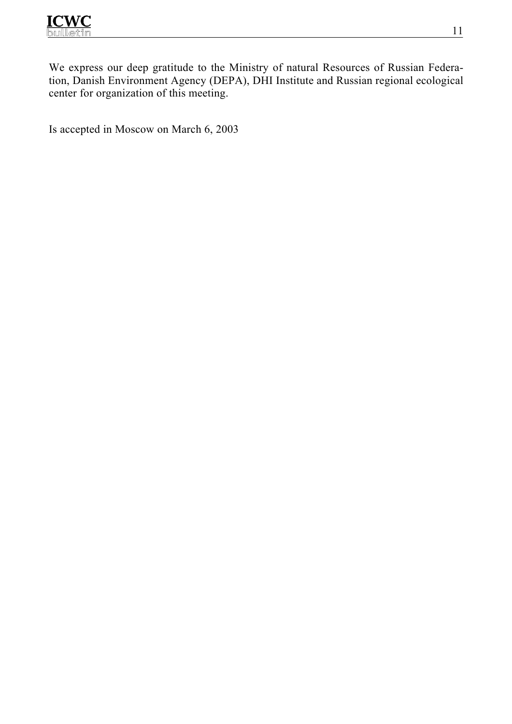

We express our deep gratitude to the Ministry of natural Resources of Russian Federation, Danish Environment Agency (DEPA), DHI Institute and Russian regional ecological center for organization of this meeting.

Is accepted in Moscow on March 6, 2003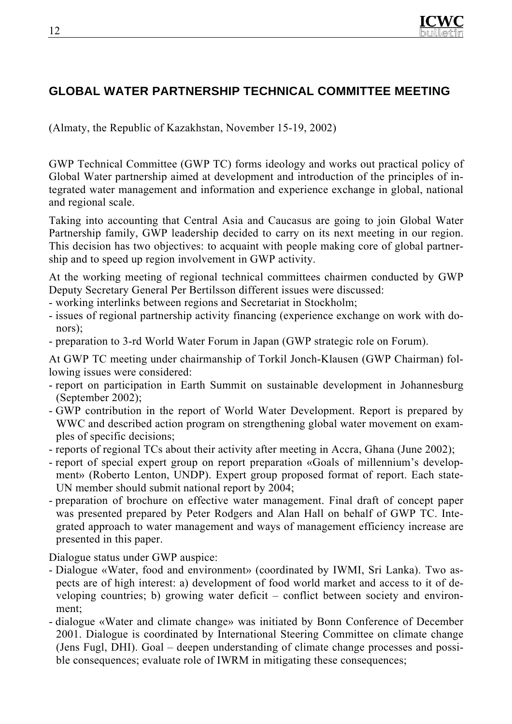

## **GLOBAL WATER PARTNERSHIP TECHNICAL COMMITTEE MEETING**

(Almaty, the Republic of Kazakhstan, November 15-19, 2002)

GWP Technical Committee (GWP TC) forms ideology and works out practical policy of Global Water partnership aimed at development and introduction of the principles of integrated water management and information and experience exchange in global, national and regional scale.

Taking into accounting that Central Asia and Caucasus are going to join Global Water Partnership family, GWP leadership decided to carry on its next meeting in our region. This decision has two objectives: to acquaint with people making core of global partnership and to speed up region involvement in GWP activity.

At the working meeting of regional technical committees chairmen conducted by GWP Deputy Secretary General Per Bertilsson different issues were discussed:

- working interlinks between regions and Secretariat in Stockholm;
- issues of regional partnership activity financing (experience exchange on work with donors);
- preparation to 3-rd World Water Forum in Japan (GWP strategic role on Forum).

At GWP TC meeting under chairmanship of Torkil Jonch-Klausen (GWP Chairman) following issues were considered:

- report on participation in Earth Summit on sustainable development in Johannesburg (September 2002);
- GWP contribution in the report of World Water Development. Report is prepared by WWC and described action program on strengthening global water movement on examples of specific decisions;
- reports of regional TCs about their activity after meeting in Accra, Ghana (June 2002);
- report of special expert group on report preparation «Goals of millennium's development» (Roberto Lenton, UNDP). Expert group proposed format of report. Each state-UN member should submit national report by 2004;
- preparation of brochure on effective water management. Final draft of concept paper was presented prepared by Peter Rodgers and Alan Hall on behalf of GWP TC. Integrated approach to water management and ways of management efficiency increase are presented in this paper.

Dialogue status under GWP auspice:

- Dialogue «Water, food and environment» (coordinated by IWMI, Sri Lanka). Two aspects are of high interest: а) development of food world market and access to it of developing countries; b) growing water deficit – conflict between society and environment;
- dialogue «Water and climate change» was initiated by Bonn Conference of December 2001. Dialogue is coordinated by International Steering Committee on climate change (Jens Fugl, DHI). Goal – deepen understanding of climate change processes and possible consequences; evaluate role of IWRM in mitigating these consequences;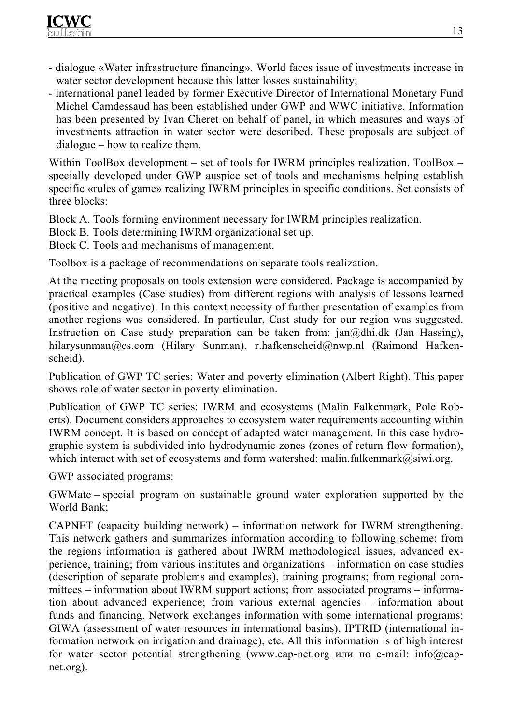

- dialogue «Water infrastructure financing». World faces issue of investments increase in water sector development because this latter losses sustainability;
- international panel leaded by former Executive Director of International Monetary Fund Michel Camdessaud has been established under GWP and WWC initiative. Information has been presented by Ivan Cheret on behalf of panel, in which measures and ways of investments attraction in water sector were described. These proposals are subject of dialogue – how to realize them.

Within ToolBox development – set of tools for IWRM principles realization. ToolBox – specially developed under GWP auspice set of tools and mechanisms helping establish specific «rules of game» realizing IWRM principles in specific conditions. Set consists of three blocks:

Block А. Tools forming environment necessary for IWRM principles realization.

Block B. Tools determining IWRM organizational set up.

Block C. Tools and mechanisms of management.

Toolbox is a package of recommendations on separate tools realization.

At the meeting proposals on tools extension were considered. Package is accompanied by practical examples (Case studies) from different regions with analysis of lessons learned (positive and negative). In this context necessity of further presentation of examples from another regions was considered. In particular, Cast study for our region was suggested. Instruction on Case study preparation can be taken from:  $jan(@dh.dk$  (Jan Hassing), hilarysunman@cs.com (Hilary Sunman), r.hafkenscheid@nwp.nl (Raimond Hafkenscheid).

Publication of GWP TC series: Water and poverty elimination (Albert Right). This paper shows role of water sector in poverty elimination.

Publication of GWP TC series: IWRM and ecosystems (Malin Falkenmark, Pole Roberts). Document considers approaches to ecosystem water requirements accounting within IWRM concept. It is based on concept of adapted water management. In this case hydrographic system is subdivided into hydrodynamic zones (zones of return flow formation), which interact with set of ecosystems and form watershed: malin.falkenmark@siwi.org.

GWP associated programs:

GWMate – special program on sustainable ground water exploration supported by the World Bank;

CAPNET (capacity building network) – information network for IWRM strengthening. This network gathers and summarizes information according to following scheme: from the regions information is gathered about IWRM methodological issues, advanced experience, training; from various institutes and organizations – information on case studies (description of separate problems and examples), training programs; from regional committees – information about IWRM support actions; from associated programs – information about advanced experience; from various external agencies – information about funds and financing. Network exchanges information with some international programs: GIWA (assessment of water resources in international basins), IPTRID (international information network on irrigation and drainage), etc. All this information is of high interest for water sector potential strengthening (www.cap-net.org или по e-mail: info@capnet.org).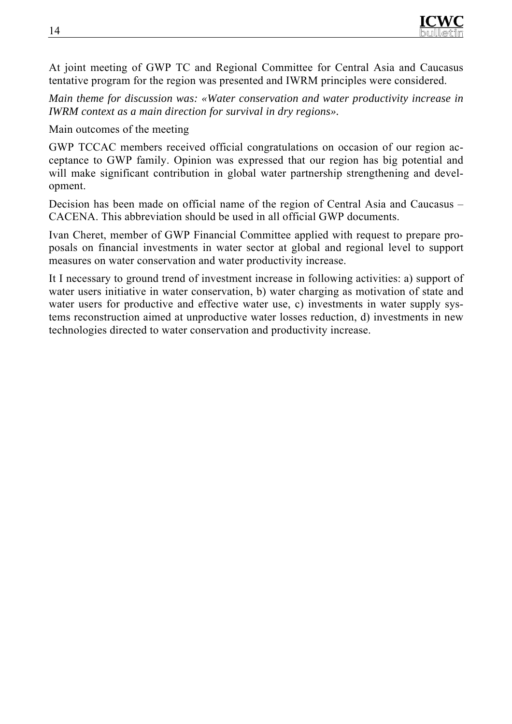At joint meeting of GWP TC and Regional Committee for Central Asia and Caucasus tentative program for the region was presented and IWRM principles were considered.

*Main theme for discussion was: «Water conservation and water productivity increase in IWRM context as a main direction for survival in dry regions».* 

Main outcomes of the meeting

GWP TCCAC members received official congratulations on occasion of our region acceptance to GWP family. Opinion was expressed that our region has big potential and will make significant contribution in global water partnership strengthening and development.

Decision has been made on official name of the region of Central Asia and Caucasus – CACENA. This abbreviation should be used in all official GWP documents.

Ivan Cheret, member of GWP Financial Committee applied with request to prepare proposals on financial investments in water sector at global and regional level to support measures on water conservation and water productivity increase.

It I necessary to ground trend of investment increase in following activities: а) support of water users initiative in water conservation, b) water charging as motivation of state and water users for productive and effective water use, c) investments in water supply systems reconstruction aimed at unproductive water losses reduction, d) investments in new technologies directed to water conservation and productivity increase.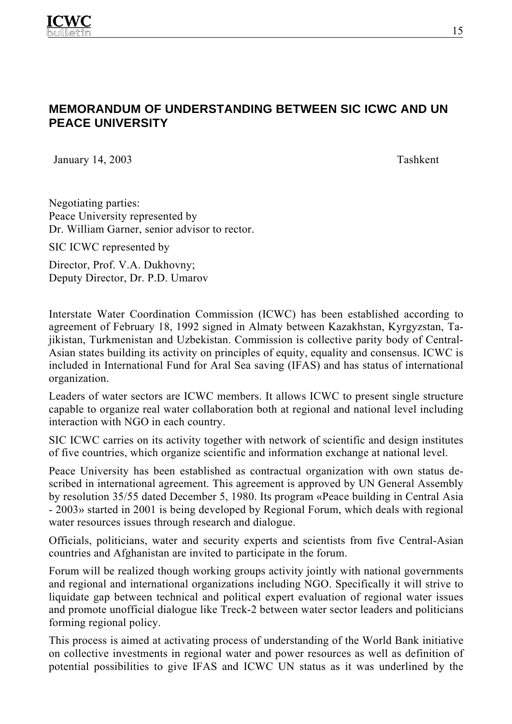## **MEMORANDUM OF UNDERSTANDING BETWEEN SIC ICWC AND UN PEACE UNIVERSITY**

January 14, 2003 Tashkent

Negotiating parties: Peace University represented by Dr. William Garner, senior advisor to rector.

SIC ICWC represented by

Director, Prof. V.A. Dukhovny; Deputy Director, Dr. P.D. Umarov

Interstate Water Coordination Commission (ICWC) has been established according to agreement of February 18, 1992 signed in Almaty between Kazakhstan, Kyrgyzstan, Tajikistan, Turkmenistan and Uzbekistan. Commission is collective parity body of Central-Asian states building its activity on principles of equity, equality and consensus. ICWC is included in International Fund for Aral Sea saving (IFAS) and has status of international organization.

Leaders of water sectors are ICWC members. It allows ICWC to present single structure capable to organize real water collaboration both at regional and national level including interaction with NGO in each country.

SIC ICWC carries on its activity together with network of scientific and design institutes of five countries, which organize scientific and information exchange at national level.

Peace University has been established as contractual organization with own status described in international agreement. This agreement is approved by UN General Assembly by resolution 35/55 dated December 5, 1980. Its program «Peace building in Central Asia - 2003» started in 2001 is being developed by Regional Forum, which deals with regional water resources issues through research and dialogue.

Officials, politicians, water and security experts and scientists from five Central-Asian countries and Afghanistan are invited to participate in the forum.

Forum will be realized though working groups activity jointly with national governments and regional and international organizations including NGO. Specifically it will strive to liquidate gap between technical and political expert evaluation of regional water issues and promote unofficial dialogue like Treck-2 between water sector leaders and politicians forming regional policy.

This process is aimed at activating process of understanding of the World Bank initiative on collective investments in regional water and power resources as well as definition of potential possibilities to give IFAS and ICWC UN status as it was underlined by the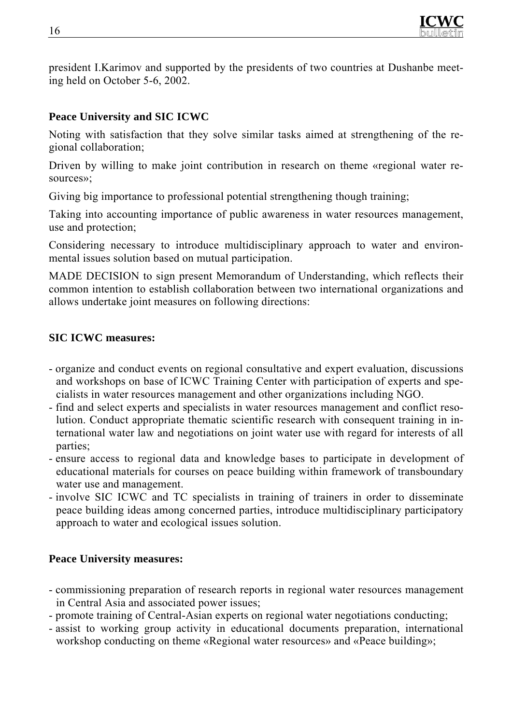

president I.Karimov and supported by the presidents of two countries at Dushanbe meeting held on October 5-6, 2002.

### **Peace University and SIC ICWC**

Noting with satisfaction that they solve similar tasks aimed at strengthening of the regional collaboration;

Driven by willing to make joint contribution in research on theme «regional water resources»;

Giving big importance to professional potential strengthening though training;

Taking into accounting importance of public awareness in water resources management, use and protection;

Considering necessary to introduce multidisciplinary approach to water and environmental issues solution based on mutual participation.

MADE DECISION to sign present Memorandum of Understanding, which reflects their common intention to establish collaboration between two international organizations and allows undertake joint measures on following directions:

#### **SIC ICWC measures:**

- organize and conduct events on regional consultative and expert evaluation, discussions and workshops on base of ICWC Training Center with participation of experts and specialists in water resources management and other organizations including NGO.
- find and select experts and specialists in water resources management and conflict resolution. Conduct appropriate thematic scientific research with consequent training in international water law and negotiations on joint water use with regard for interests of all parties;
- ensure access to regional data and knowledge bases to participate in development of educational materials for courses on peace building within framework of transboundary water use and management.
- involve SIC ICWC and TC specialists in training of trainers in order to disseminate peace building ideas among concerned parties, introduce multidisciplinary participatory approach to water and ecological issues solution.

#### **Peace University measures:**

- commissioning preparation of research reports in regional water resources management in Central Asia and associated power issues;
- promote training of Central-Asian experts on regional water negotiations conducting;
- assist to working group activity in educational documents preparation, international workshop conducting on theme «Regional water resources» and «Peace building»;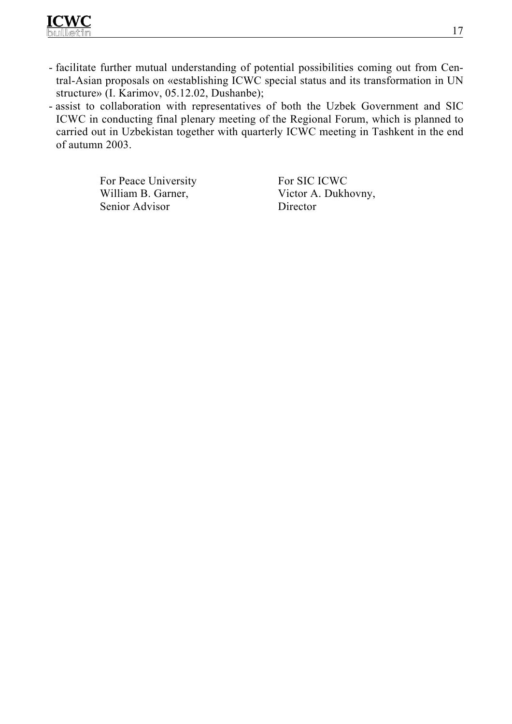

- facilitate further mutual understanding of potential possibilities coming out from Central-Asian proposals on «establishing ICWC special status and its transformation in UN structure» (I. Karimov, 05.12.02, Dushanbe);
- assist to collaboration with representatives of both the Uzbek Government and SIC ICWC in conducting final plenary meeting of the Regional Forum, which is planned to carried out in Uzbekistan together with quarterly ICWC meeting in Tashkent in the end of autumn 2003.

For Peace University William B. Garner, Senior Advisor

For SIC ICWC Victor A. Dukhovny, Director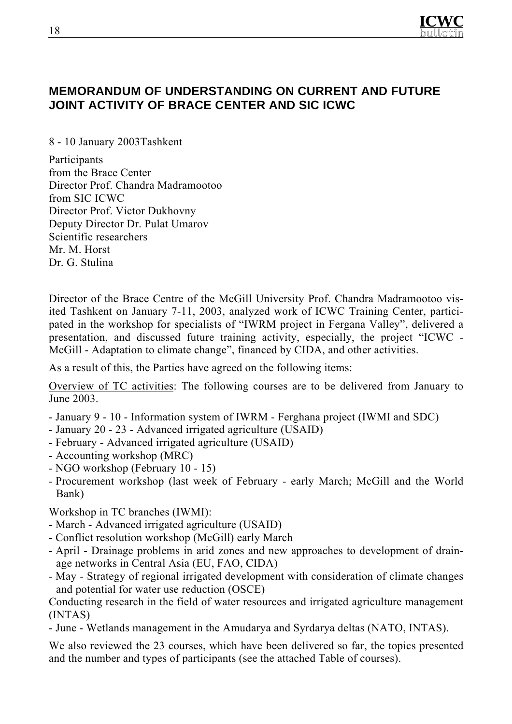

### **MEMORANDUM OF UNDERSTANDING ON CURRENT AND FUTURE JOINT ACTIVITY OF BRACE CENTER AND SIC ICWC**

8 - 10 January 2003Tashkent

Participants from the Brace Center Director Prof. Chandra Madramootoo from SIC ICWC Director Prof. Victor Dukhovny Deputy Director Dr. Pulat Umarov Scientific researchers Mr. M. Horst Dr. G. Stulina

Director of the Brace Centre of the McGill University Prof. Chandra Madramootoo visited Tashkent on January 7-11, 2003, analyzed work of ICWC Training Center, participated in the workshop for specialists of "IWRM project in Fergana Valley", delivered a presentation, and discussed future training activity, especially, the project "ICWC - McGill - Adaptation to climate change", financed by CIDA, and other activities.

As a result of this, the Parties have agreed on the following items:

Overview of TC activities: The following courses are to be delivered from January to June 2003.

- January 9 10 Information system of IWRM Ferghana project (IWMI and SDC)
- January 20 23 Advanced irrigated agriculture (USAID)
- February Advanced irrigated agriculture (USAID)
- Accounting workshop (MRC)
- NGO workshop (February 10 15)
- Procurement workshop (last week of February early March; McGill and the World Bank)

Workshop in TC branches (IWMI):

- March Advanced irrigated agriculture (USAID)
- Conflict resolution workshop (McGill) early March
- April Drainage problems in arid zones and new approaches to development of drainage networks in Central Asia (EU, FAO, CIDA)
- May Strategy of regional irrigated development with consideration of climate changes and potential for water use reduction (OSCE)

Conducting research in the field of water resources and irrigated agriculture management (INTAS)

- June - Wetlands management in the Amudarya and Syrdarya deltas (NATO, INTAS).

We also reviewed the 23 courses, which have been delivered so far, the topics presented and the number and types of participants (see the attached Table of courses).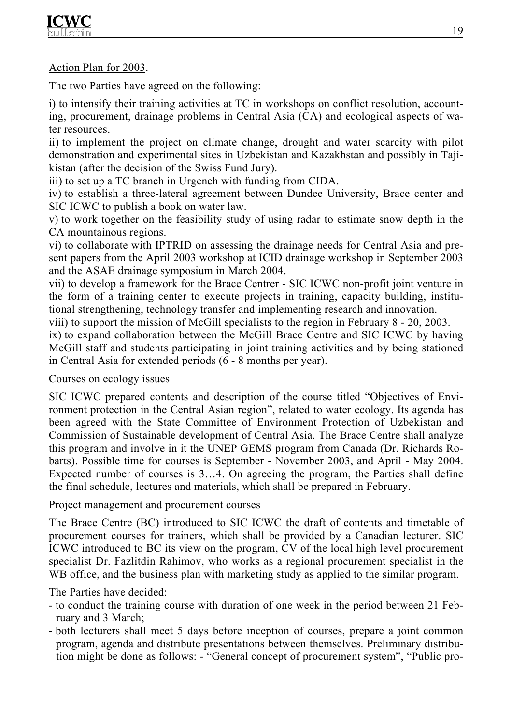#### Action Plan for 2003.

The two Parties have agreed on the following:

i) to intensify their training activities at TC in workshops on conflict resolution, accounting, procurement, drainage problems in Central Asia (CA) and ecological aspects of water resources.

ii) to implement the project on climate change, drought and water scarcity with pilot demonstration and experimental sites in Uzbekistan and Kazakhstan and possibly in Tajikistan (after the decision of the Swiss Fund Jury).

iii) to set up a TC branch in Urgench with funding from CIDA.

iv) to establish a three-lateral agreement between Dundee University, Brace center and SIC ICWC to publish a book on water law.

v) to work together on the feasibility study of using radar to estimate snow depth in the CA mountainous regions.

vi) to collaborate with IPTRID on assessing the drainage needs for Central Asia and present papers from the April 2003 workshop at ICID drainage workshop in September 2003 and the ASAE drainage symposium in March 2004.

vii) to develop a framework for the Brace Centrer - SIC ICWC non-profit joint venture in the form of a training center to execute projects in training, capacity building, institutional strengthening, technology transfer and implementing research and innovation.

viii) to support the mission of McGill specialists to the region in February 8 - 20, 2003.

ix) to expand collaboration between the McGill Brace Centre and SIC ICWC by having McGill staff and students participating in joint training activities and by being stationed in Central Asia for extended periods (6 - 8 months per year).

#### Courses on ecology issues

SIC ICWC prepared contents and description of the course titled "Objectives of Environment protection in the Central Asian region", related to water ecology. Its agenda has been agreed with the State Committee of Environment Protection of Uzbekistan and Commission of Sustainable development of Central Asia. The Brace Centre shall analyze this program and involve in it the UNEP GEMS program from Canada (Dr. Richards Robarts). Possible time for courses is September - November 2003, and April - May 2004. Expected number of courses is 3…4. On agreeing the program, the Parties shall define the final schedule, lectures and materials, which shall be prepared in February.

#### Project management and procurement courses

The Brace Centre (BC) introduced to SIC ICWC the draft of contents and timetable of procurement courses for trainers, which shall be provided by a Canadian lecturer. SIC ICWC introduced to BC its view on the program, CV of the local high level procurement specialist Dr. Fazlitdin Rahimov, who works as a regional procurement specialist in the WB office, and the business plan with marketing study as applied to the similar program.

The Parties have decided:

- to conduct the training course with duration of one week in the period between 21 February and 3 March;
- both lecturers shall meet 5 days before inception of courses, prepare a joint common program, agenda and distribute presentations between themselves. Preliminary distribution might be done as follows: - "General concept of procurement system", "Public pro-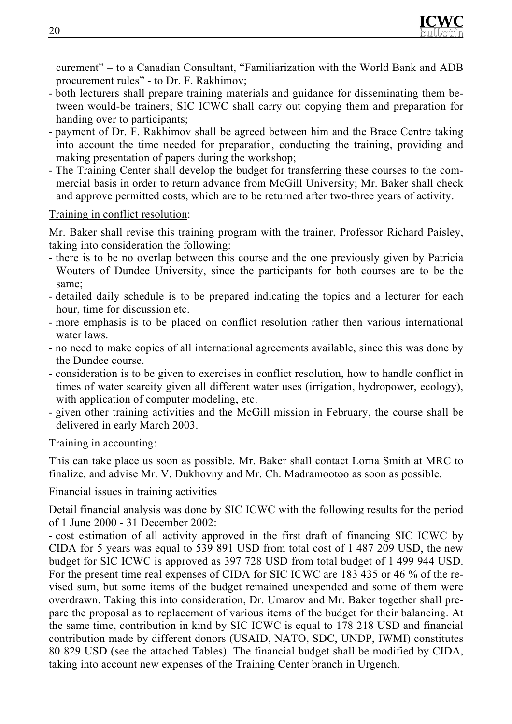

curement" – to a Canadian Consultant, "Familiarization with the World Bank and ADB procurement rules" - to Dr. F. Rakhimov;

- both lecturers shall prepare training materials and guidance for disseminating them between would-be trainers; SIC ICWC shall carry out copying them and preparation for handing over to participants;
- payment of Dr. F. Rakhimov shall be agreed between him and the Brace Centre taking into account the time needed for preparation, conducting the training, providing and making presentation of papers during the workshop;
- The Training Center shall develop the budget for transferring these courses to the commercial basis in order to return advance from McGill University; Mr. Baker shall check and approve permitted costs, which are to be returned after two-three years of activity.

#### Training in conflict resolution:

Mr. Baker shall revise this training program with the trainer, Professor Richard Paisley, taking into consideration the following:

- there is to be no overlap between this course and the one previously given by Patricia Wouters of Dundee University, since the participants for both courses are to be the same;
- detailed daily schedule is to be prepared indicating the topics and a lecturer for each hour, time for discussion etc.
- more emphasis is to be placed on conflict resolution rather then various international water laws.
- no need to make copies of all international agreements available, since this was done by the Dundee course.
- consideration is to be given to exercises in conflict resolution, how to handle conflict in times of water scarcity given all different water uses (irrigation, hydropower, ecology), with application of computer modeling, etc.
- given other training activities and the McGill mission in February, the course shall be delivered in early March 2003.

#### Training in accounting:

This can take place us soon as possible. Mr. Baker shall contact Lorna Smith at MRC to finalize, and advise Mr. V. Dukhovny and Mr. Ch. Madramootoo as soon as possible.

#### Financial issues in training activities

Detail financial analysis was done by SIC ICWC with the following results for the period of 1 June 2000 - 31 December 2002:

- cost estimation of all activity approved in the first draft of financing SIC ICWC by CIDA for 5 years was equal to 539 891 USD from total cost of 1 487 209 USD, the new budget for SIC ICWC is approved as 397 728 USD from total budget of 1 499 944 USD. For the present time real expenses of CIDA for SIC ICWC are 183 435 or 46 % of the revised sum, but some items of the budget remained unexpended and some of them were overdrawn. Taking this into consideration, Dr. Umarov and Mr. Baker together shall prepare the proposal as to replacement of various items of the budget for their balancing. At the same time, contribution in kind by SIC ICWC is equal to 178 218 USD and financial contribution made by different donors (USAID, NATO, SDC, UNDP, IWMI) constitutes 80 829 USD (see the attached Tables). The financial budget shall be modified by CIDA, taking into account new expenses of the Training Center branch in Urgench.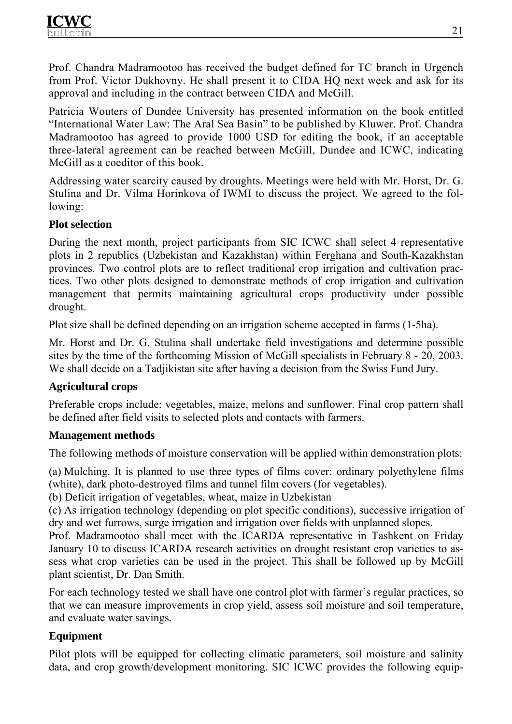

Prof. Chandra Madramootoo has received the budget defined for TC branch in Urgench from Prof. Victor Dukhovny. He shall present it to CIDA HQ next week and ask for its approval and including in the contract between CIDA and McGill.

Patricia Wouters of Dundee University has presented information on the book entitled "International Water Law: The Aral Sea Basin" to be published by Kluwer. Prof. Chandra Madramootoo has agreed to provide 1000 USD for editing the book, if an acceptable three-lateral agreement can be reached between McGill, Dundee and ICWC, indicating McGill as a coeditor of this book.

Addressing water scarcity caused by droughts. Meetings were held with Mr. Horst, Dr. G. Stulina and Dr. Vilma Horinkova of IWMI to discuss the project. We agreed to the following:

#### **Plot selection**

During the next month, project participants from SIC ICWC shall select 4 representative plots in 2 republics (Uzbekistan and Kazakhstan) within Ferghana and South-Kazakhstan provinces. Two control plots are to reflect traditional crop irrigation and cultivation practices. Two other plots designed to demonstrate methods of crop irrigation and cultivation management that permits maintaining agricultural crops productivity under possible drought.

Plot size shall be defined depending on an irrigation scheme accepted in farms (1-5ha).

Mr. Horst and Dr. G. Stulina shall undertake field investigations and determine possible sites by the time of the forthcoming Mission of McGill specialists in February 8 - 20, 2003. We shall decide on a Tadjikistan site after having a decision from the Swiss Fund Jury.

#### **Agricultural crops**

Preferable crops include: vegetables, maize, melons and sunflower. Final crop pattern shall be defined after field visits to selected plots and contacts with farmers.

#### **Management methods**

The following methods of moisture conservation will be applied within demonstration plots:

(a) Mulching. It is planned to use three types of films cover: ordinary polyethylene films (white), dark photo-destroyed films and tunnel film covers (for vegetables).

(b) Deficit irrigation of vegetables, wheat, maize in Uzbekistan

(c) As irrigation technology (depending on plot specific conditions), successive irrigation of dry and wet furrows, surge irrigation and irrigation over fields with unplanned slopes.

Prof. Madramootoo shall meet with the ICARDA representative in Tashkent on Friday January 10 to discuss ICARDA research activities on drought resistant crop varieties to assess what crop varieties can be used in the project. This shall be followed up by McGill plant scientist, Dr. Dan Smith.

For each technology tested we shall have one control plot with farmer's regular practices, so that we can measure improvements in crop yield, assess soil moisture and soil temperature, and evaluate water savings.

#### **Equipment**

Pilot plots will be equipped for collecting climatic parameters, soil moisture and salinity data, and crop growth/development monitoring. SIC ICWC provides the following equip-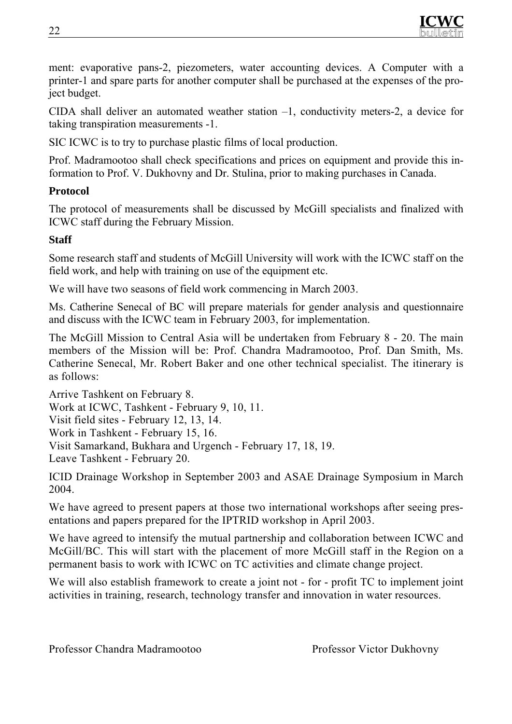

ment: evaporative pans-2, piezometers, water accounting devices. A Computer with a printer-1 and spare parts for another computer shall be purchased at the expenses of the project budget.

CIDA shall deliver an automated weather station –1, conductivity meters-2, a device for taking transpiration measurements -1.

SIC ICWC is to try to purchase plastic films of local production.

Prof. Madramootoo shall check specifications and prices on equipment and provide this information to Prof. V. Dukhovny and Dr. Stulina, prior to making purchases in Canada.

#### **Protocol**

The protocol of measurements shall be discussed by McGill specialists and finalized with ICWC staff during the February Mission.

#### **Staff**

Some research staff and students of McGill University will work with the ICWC staff on the field work, and help with training on use of the equipment etc.

We will have two seasons of field work commencing in March 2003.

Ms. Catherine Senecal of BC will prepare materials for gender analysis and questionnaire and discuss with the ICWC team in February 2003, for implementation.

The McGill Mission to Central Asia will be undertaken from February 8 - 20. The main members of the Mission will be: Prof. Chandra Madramootoo, Prof. Dan Smith, Ms. Catherine Senecal, Mr. Robert Baker and one other technical specialist. The itinerary is as follows:

Arrive Tashkent on February 8. Work at ICWC, Tashkent - February 9, 10, 11. Visit field sites - February 12, 13, 14. Work in Tashkent - February 15, 16. Visit Samarkand, Bukhara and Urgench - February 17, 18, 19. Leave Tashkent - February 20.

ICID Drainage Workshop in September 2003 and ASAE Drainage Symposium in March 2004.

We have agreed to present papers at those two international workshops after seeing presentations and papers prepared for the IPTRID workshop in April 2003.

We have agreed to intensify the mutual partnership and collaboration between ICWC and McGill/BC. This will start with the placement of more McGill staff in the Region on a permanent basis to work with ICWC on TC activities and climate change project.

We will also establish framework to create a joint not - for - profit TC to implement joint activities in training, research, technology transfer and innovation in water resources.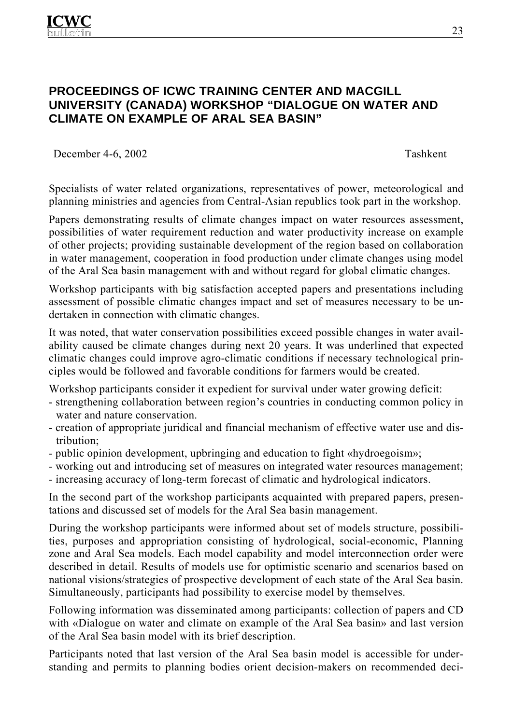## **PROCEEDINGS OF ICWC TRAINING CENTER AND MACGILL UNIVERSITY (CANADA) WORKSHOP "DIALOGUE ON WATER AND CLIMATE ON EXAMPLE OF ARAL SEA BASIN"**

December 4-6, 2002 Tashkent

Specialists of water related organizations, representatives of power, meteorological and planning ministries and agencies from Central-Asian republics took part in the workshop.

Papers demonstrating results of climate changes impact on water resources assessment, possibilities of water requirement reduction and water productivity increase on example of other projects; providing sustainable development of the region based on collaboration in water management, cooperation in food production under climate changes using model of the Aral Sea basin management with and without regard for global climatic changes.

Workshop participants with big satisfaction accepted papers and presentations including assessment of possible climatic changes impact and set of measures necessary to be undertaken in connection with climatic changes.

It was noted, that water conservation possibilities exceed possible changes in water availability caused be climate changes during next 20 years. It was underlined that expected climatic changes could improve agro-climatic conditions if necessary technological principles would be followed and favorable conditions for farmers would be created.

Workshop participants consider it expedient for survival under water growing deficit:

- strengthening collaboration between region's countries in conducting common policy in water and nature conservation.
- creation of appropriate juridical and financial mechanism of effective water use and distribution;
- public opinion development, upbringing and education to fight «hydroegoism»;
- working out and introducing set of measures on integrated water resources management;
- increasing accuracy of long-term forecast of climatic and hydrological indicators.

In the second part of the workshop participants acquainted with prepared papers, presentations and discussed set of models for the Aral Sea basin management.

During the workshop participants were informed about set of models structure, possibilities, purposes and appropriation consisting of hydrological, social-economic, Planning zone and Aral Sea models. Each model capability and model interconnection order were described in detail. Results of models use for optimistic scenario and scenarios based on national visions/strategies of prospective development of each state of the Aral Sea basin. Simultaneously, participants had possibility to exercise model by themselves.

Following information was disseminated among participants: collection of papers and CD with «Dialogue on water and climate on example of the Aral Sea basin» and last version of the Aral Sea basin model with its brief description.

Participants noted that last version of the Aral Sea basin model is accessible for understanding and permits to planning bodies orient decision-makers on recommended deci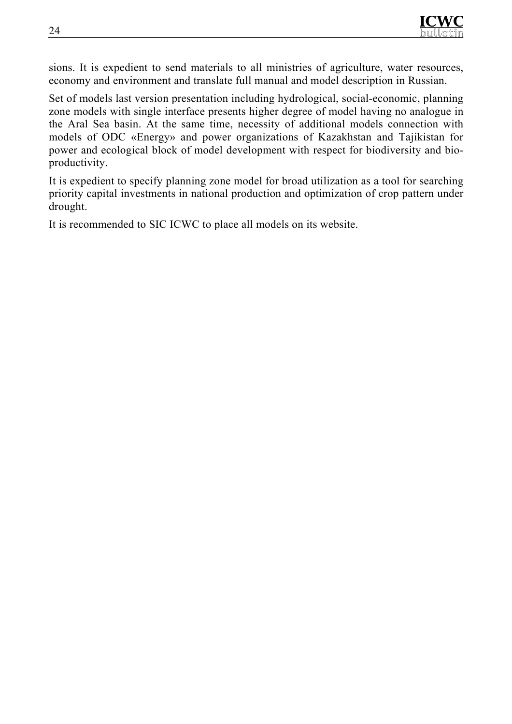sions. It is expedient to send materials to all ministries of agriculture, water resources, economy and environment and translate full manual and model description in Russian.

Set of models last version presentation including hydrological, social-economic, planning zone models with single interface presents higher degree of model having no analogue in the Aral Sea basin. At the same time, necessity of additional models connection with models of ODC «Energy» and power organizations of Kazakhstan and Tajikistan for power and ecological block of model development with respect for biodiversity and bioproductivity.

It is expedient to specify planning zone model for broad utilization as a tool for searching priority capital investments in national production and optimization of crop pattern under drought.

It is recommended to SIC ICWC to place all models on its website.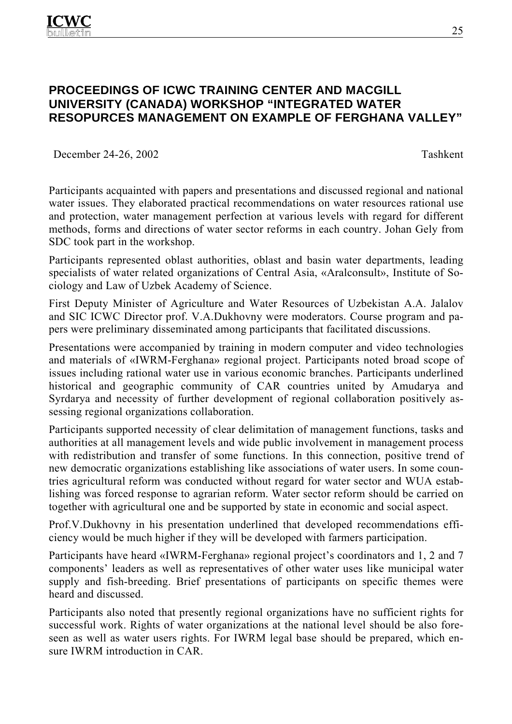## **PROCEEDINGS OF ICWC TRAINING CENTER AND MACGILL UNIVERSITY (CANADA) WORKSHOP "INTEGRATED WATER RESOPURCES MANAGEMENT ON EXAMPLE OF FERGHANA VALLEY"**

December 24-26, 2002 Tashkent

Participants acquainted with papers and presentations and discussed regional and national water issues. They elaborated practical recommendations on water resources rational use and protection, water management perfection at various levels with regard for different methods, forms and directions of water sector reforms in each country. Johan Gely from SDC took part in the workshop.

Participants represented oblast authorities, oblast and basin water departments, leading specialists of water related organizations of Central Asia, «Aralconsult», Institute of Sociology and Law of Uzbek Academy of Science.

First Deputy Minister of Agriculture and Water Resources of Uzbekistan A.A. Jalalov and SIC ICWC Director prof. V.A.Dukhovny were moderators. Course program and papers were preliminary disseminated among participants that facilitated discussions.

Presentations were accompanied by training in modern computer and video technologies and materials of «IWRM-Ferghana» regional project. Participants noted broad scope of issues including rational water use in various economic branches. Participants underlined historical and geographic community of CAR countries united by Amudarya and Syrdarya and necessity of further development of regional collaboration positively assessing regional organizations collaboration.

Participants supported necessity of clear delimitation of management functions, tasks and authorities at all management levels and wide public involvement in management process with redistribution and transfer of some functions. In this connection, positive trend of new democratic organizations establishing like associations of water users. In some countries agricultural reform was conducted without regard for water sector and WUA establishing was forced response to agrarian reform. Water sector reform should be carried on together with agricultural one and be supported by state in economic and social aspect.

Prof.V.Dukhovny in his presentation underlined that developed recommendations efficiency would be much higher if they will be developed with farmers participation.

Participants have heard «IWRM-Ferghana» regional project's coordinators and 1, 2 and 7 components' leaders as well as representatives of other water uses like municipal water supply and fish-breeding. Brief presentations of participants on specific themes were heard and discussed.

Participants also noted that presently regional organizations have no sufficient rights for successful work. Rights of water organizations at the national level should be also foreseen as well as water users rights. For IWRM legal base should be prepared, which ensure IWRM introduction in CAR.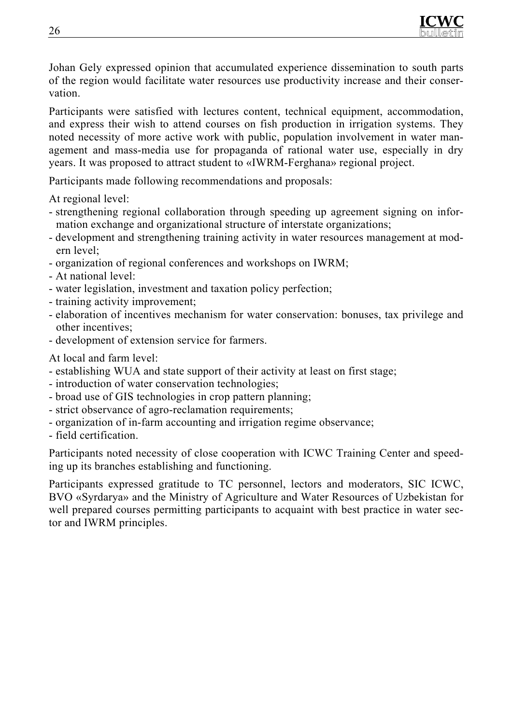

Johan Gely expressed opinion that accumulated experience dissemination to south parts of the region would facilitate water resources use productivity increase and their conservation.

Participants were satisfied with lectures content, technical equipment, accommodation, and express their wish to attend courses on fish production in irrigation systems. They noted necessity of more active work with public, population involvement in water management and mass-media use for propaganda of rational water use, especially in dry years. It was proposed to attract student to «IWRM-Ferghana» regional project.

Participants made following recommendations and proposals:

At regional level:

- strengthening regional collaboration through speeding up agreement signing on information exchange and organizational structure of interstate organizations;
- development and strengthening training activity in water resources management at modern level;
- organization of regional conferences and workshops on IWRM;
- At national level:
- water legislation, investment and taxation policy perfection;
- training activity improvement;
- elaboration of incentives mechanism for water conservation: bonuses, tax privilege and other incentives;
- development of extension service for farmers.

At local and farm level:

- establishing WUA and state support of their activity at least on first stage;
- introduction of water conservation technologies;
- broad use of GIS technologies in crop pattern planning;
- strict observance of agro-reclamation requirements;
- organization of in-farm accounting and irrigation regime observance;

- field certification.

Participants noted necessity of close cooperation with ICWC Training Center and speeding up its branches establishing and functioning.

Participants expressed gratitude to TC personnel, lectors and moderators, SIC ICWC, BVO «Syrdarya» and the Ministry of Agriculture and Water Resources of Uzbekistan for well prepared courses permitting participants to acquaint with best practice in water sector and IWRM principles.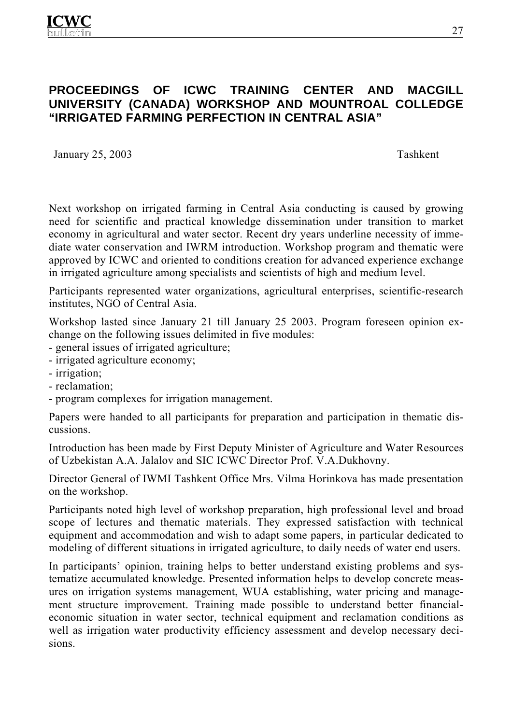## **PROCEEDINGS OF ICWC TRAINING CENTER AND MACGILL UNIVERSITY (CANADA) WORKSHOP AND MOUNTROAL COLLEDGE "IRRIGATED FARMING PERFECTION IN CENTRAL ASIA"**

January 25, 2003 Tashkent

Next workshop on irrigated farming in Central Asia conducting is caused by growing need for scientific and practical knowledge dissemination under transition to market economy in agricultural and water sector. Recent dry years underline necessity of immediate water conservation and IWRM introduction. Workshop program and thematic were approved by ICWC and oriented to conditions creation for advanced experience exchange in irrigated agriculture among specialists and scientists of high and medium level.

Participants represented water organizations, agricultural enterprises, scientific-research institutes, NGO of Central Asia.

Workshop lasted since January 21 till January 25 2003. Program foreseen opinion exchange on the following issues delimited in five modules:

- general issues of irrigated agriculture;
- irrigated agriculture economy;
- irrigation;
- reclamation;
- program complexes for irrigation management.

Papers were handed to all participants for preparation and participation in thematic discussions.

Introduction has been made by First Deputy Minister of Agriculture and Water Resources of Uzbekistan A.A. Jalalov and SIC ICWC Director Prof. V.A.Dukhovny.

Director General of IWMI Tashkent Office Mrs. Vilma Horinkova has made presentation on the workshop.

Participants noted high level of workshop preparation, high professional level and broad scope of lectures and thematic materials. They expressed satisfaction with technical equipment and accommodation and wish to adapt some papers, in particular dedicated to modeling of different situations in irrigated agriculture, to daily needs of water end users.

In participants' opinion, training helps to better understand existing problems and systematize accumulated knowledge. Presented information helps to develop concrete measures on irrigation systems management, WUA establishing, water pricing and management structure improvement. Training made possible to understand better financialeconomic situation in water sector, technical equipment and reclamation conditions as well as irrigation water productivity efficiency assessment and develop necessary decisions.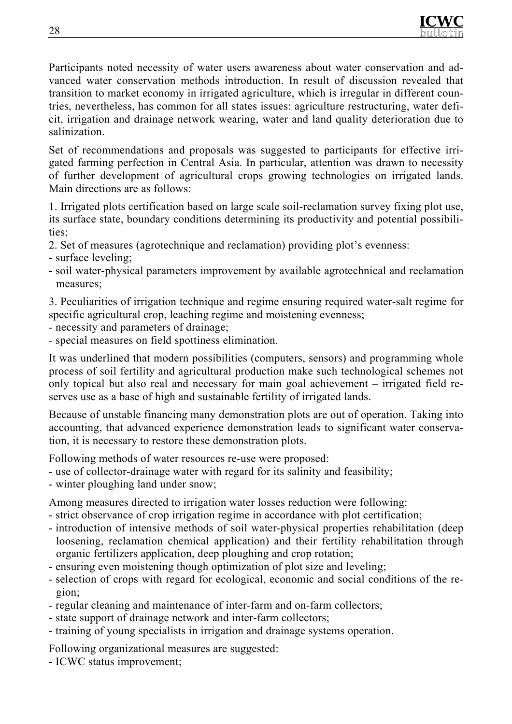

Participants noted necessity of water users awareness about water conservation and advanced water conservation methods introduction. In result of discussion revealed that transition to market economy in irrigated agriculture, which is irregular in different countries, nevertheless, has common for all states issues: agriculture restructuring, water deficit, irrigation and drainage network wearing, water and land quality deterioration due to salinization.

Set of recommendations and proposals was suggested to participants for effective irrigated farming perfection in Central Asia. In particular, attention was drawn to necessity of further development of agricultural crops growing technologies on irrigated lands. Main directions are as follows:

1. Irrigated plots certification based on large scale soil-reclamation survey fixing plot use, its surface state, boundary conditions determining its productivity and potential possibilities;

- 2. Set of measures (agrotechnique and reclamation) providing plot's evenness:
- surface leveling;
- soil water-physical parameters improvement by available agrotechnical and reclamation measures;

3. Peculiarities of irrigation technique and regime ensuring required water-salt regime for specific agricultural crop, leaching regime and moistening evenness;

- necessity and parameters of drainage;
- special measures on field spottiness elimination.

It was underlined that modern possibilities (computers, sensors) and programming whole process of soil fertility and agricultural production make such technological schemes not only topical but also real and necessary for main goal achievement – irrigated field reserves use as a base of high and sustainable fertility of irrigated lands.

Because of unstable financing many demonstration plots are out of operation. Taking into accounting, that advanced experience demonstration leads to significant water conservation, it is necessary to restore these demonstration plots.

Following methods of water resources re-use were proposed:

- use of collector-drainage water with regard for its salinity and feasibility;
- winter ploughing land under snow;

Among measures directed to irrigation water losses reduction were following:

- strict observance of crop irrigation regime in accordance with plot certification;
- introduction of intensive methods of soil water-physical properties rehabilitation (deep loosening, reclamation chemical application) and their fertility rehabilitation through organic fertilizers application, deep ploughing and crop rotation;
- ensuring even moistening though optimization of plot size and leveling;
- selection of crops with regard for ecological, economic and social conditions of the region;
- regular cleaning and maintenance of inter-farm and on-farm collectors;
- state support of drainage network and inter-farm collectors;
- training of young specialists in irrigation and drainage systems operation.

Following organizational measures are suggested:

- ICWC status improvement;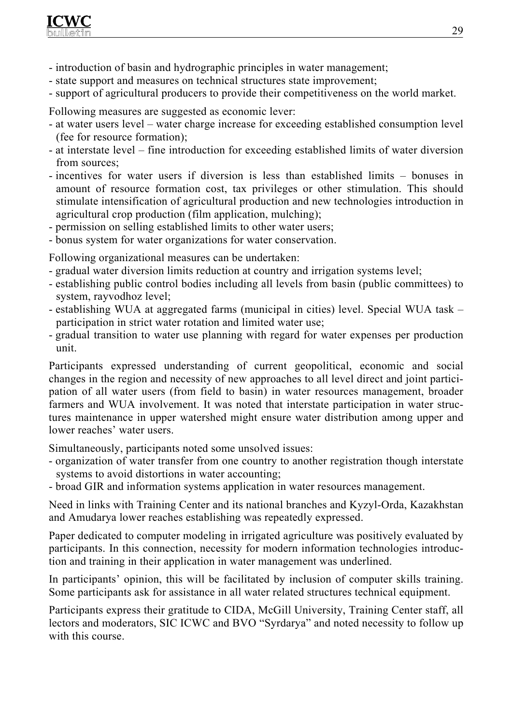

- introduction of basin and hydrographic principles in water management;
- state support and measures on technical structures state improvement;
- support of agricultural producers to provide their competitiveness on the world market.

Following measures are suggested as economic lever:

- at water users level water charge increase for exceeding established consumption level (fee for resource formation);
- at interstate level fine introduction for exceeding established limits of water diversion from sources;
- incentives for water users if diversion is less than established limits bonuses in amount of resource formation cost, tax privileges or other stimulation. This should stimulate intensification of agricultural production and new technologies introduction in agricultural crop production (film application, mulching);
- permission on selling established limits to other water users;
- bonus system for water organizations for water conservation.

Following organizational measures can be undertaken:

- gradual water diversion limits reduction at country and irrigation systems level;
- establishing public control bodies including all levels from basin (public committees) to system, rayvodhoz level;
- establishing WUA at aggregated farms (municipal in cities) level. Special WUA task participation in strict water rotation and limited water use;
- gradual transition to water use planning with regard for water expenses per production unit.

Participants expressed understanding of current geopolitical, economic and social changes in the region and necessity of new approaches to all level direct and joint participation of all water users (from field to basin) in water resources management, broader farmers and WUA involvement. It was noted that interstate participation in water structures maintenance in upper watershed might ensure water distribution among upper and lower reaches' water users.

Simultaneously, participants noted some unsolved issues:

- organization of water transfer from one country to another registration though interstate systems to avoid distortions in water accounting;
- broad GIR and information systems application in water resources management.

Need in links with Training Center and its national branches and Kyzyl-Orda, Kazakhstan and Amudarya lower reaches establishing was repeatedly expressed.

Paper dedicated to computer modeling in irrigated agriculture was positively evaluated by participants. In this connection, necessity for modern information technologies introduction and training in their application in water management was underlined.

In participants' opinion, this will be facilitated by inclusion of computer skills training. Some participants ask for assistance in all water related structures technical equipment.

Participants express their gratitude to CIDA, McGill University, Training Center staff, all lectors and moderators, SIC ICWC and BVO "Syrdarya" and noted necessity to follow up with this course.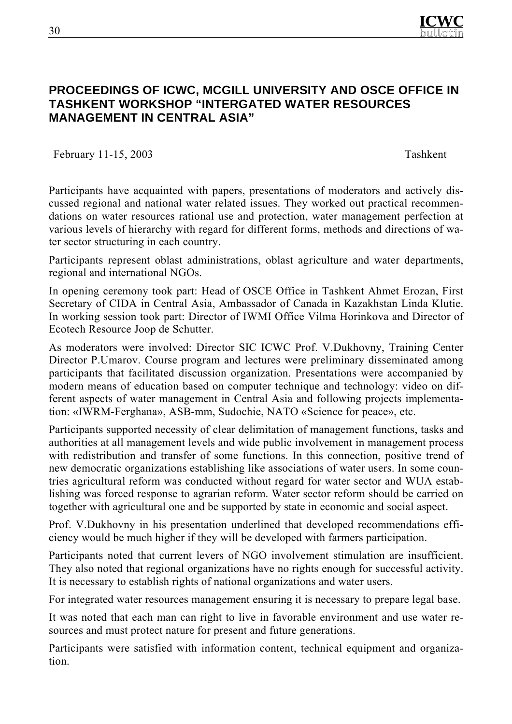

## **PROCEEDINGS OF ICWC, MCGILL UNIVERSITY AND OSCE OFFICE IN TASHKENT WORKSHOP "INTERGATED WATER RESOURCES MANAGEMENT IN CENTRAL ASIA"**

February 11-15, 2003 Tashkent

Participants have acquainted with papers, presentations of moderators and actively discussed regional and national water related issues. They worked out practical recommendations on water resources rational use and protection, water management perfection at various levels of hierarchy with regard for different forms, methods and directions of water sector structuring in each country.

Participants represent oblast administrations, oblast agriculture and water departments, regional and international NGOs.

In opening ceremony took part: Head of OSCE Office in Tashkent Ahmet Erozan, First Secretary of CIDA in Central Asia, Ambassador of Canada in Kazakhstan Linda Klutie. In working session took part: Director of IWMI Office Vilma Horinkova and Director of Ecotech Resource Joop de Schutter.

As moderators were involved: Director SIC ICWC Prof. V.Dukhovny, Training Center Director P.Umarov. Course program and lectures were preliminary disseminated among participants that facilitated discussion organization. Presentations were accompanied by modern means of education based on computer technique and technology: video on different aspects of water management in Central Asia and following projects implementation: «IWRM-Ferghana», ASB-mm, Sudochie, NATO «Science for peace», etc.

Participants supported necessity of clear delimitation of management functions, tasks and authorities at all management levels and wide public involvement in management process with redistribution and transfer of some functions. In this connection, positive trend of new democratic organizations establishing like associations of water users. In some countries agricultural reform was conducted without regard for water sector and WUA establishing was forced response to agrarian reform. Water sector reform should be carried on together with agricultural one and be supported by state in economic and social aspect.

Prof. V.Dukhovny in his presentation underlined that developed recommendations efficiency would be much higher if they will be developed with farmers participation.

Participants noted that current levers of NGO involvement stimulation are insufficient. They also noted that regional organizations have no rights enough for successful activity. It is necessary to establish rights of national organizations and water users.

For integrated water resources management ensuring it is necessary to prepare legal base.

It was noted that each man can right to live in favorable environment and use water resources and must protect nature for present and future generations.

Participants were satisfied with information content, technical equipment and organization.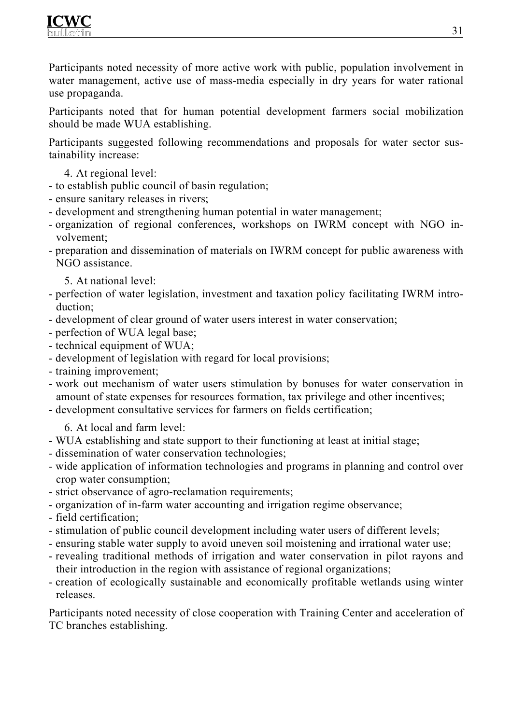

Participants noted necessity of more active work with public, population involvement in water management, active use of mass-media especially in dry years for water rational use propaganda.

Participants noted that for human potential development farmers social mobilization should be made WUA establishing.

Participants suggested following recommendations and proposals for water sector sustainability increase:

- 4. At regional level:
- to establish public council of basin regulation;
- ensure sanitary releases in rivers;
- development and strengthening human potential in water management;
- organization of regional conferences, workshops on IWRM concept with NGO involvement;
- preparation and dissemination of materials on IWRM concept for public awareness with NGO assistance.
	- 5. At national level:
- perfection of water legislation, investment and taxation policy facilitating IWRM introduction;
- development of clear ground of water users interest in water conservation;
- perfection of WUA legal base;
- technical equipment of WUA;
- development of legislation with regard for local provisions;
- training improvement;
- work out mechanism of water users stimulation by bonuses for water conservation in amount of state expenses for resources formation, tax privilege and other incentives;
- development consultative services for farmers on fields certification;
	- 6. At local and farm level:
- WUA establishing and state support to their functioning at least at initial stage;
- dissemination of water conservation technologies;
- wide application of information technologies and programs in planning and control over crop water consumption;
- strict observance of agro-reclamation requirements;
- organization of in-farm water accounting and irrigation regime observance;
- field certification;
- stimulation of public council development including water users of different levels;
- ensuring stable water supply to avoid uneven soil moistening and irrational water use;
- revealing traditional methods of irrigation and water conservation in pilot rayons and their introduction in the region with assistance of regional organizations;
- creation of ecologically sustainable and economically profitable wetlands using winter releases.

Participants noted necessity of close cooperation with Training Center and acceleration of TC branches establishing.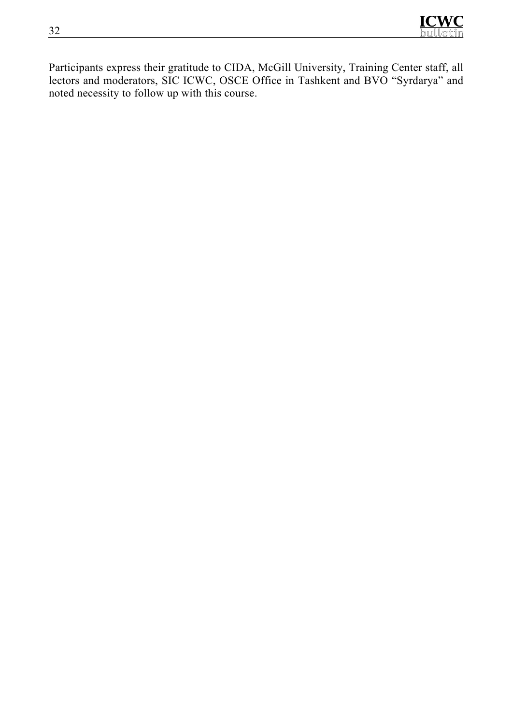

Participants express their gratitude to CIDA, McGill University, Training Center staff, all lectors and moderators, SIC ICWC, OSCE Office in Tashkent and BVO "Syrdarya" and noted necessity to follow up with this course.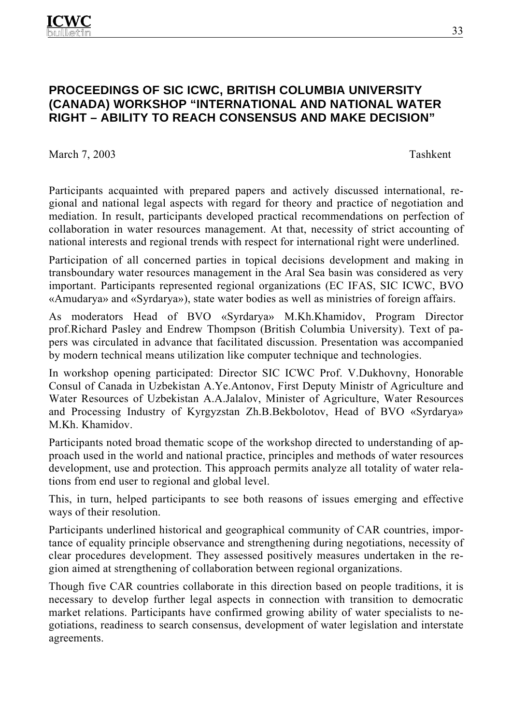## **PROCEEDINGS OF SIC ICWC, BRITISH COLUMBIA UNIVERSITY (CANADA) WORKSHOP "INTERNATIONAL AND NATIONAL WATER RIGHT – ABILITY TO REACH CONSENSUS AND MAKE DECISION"**

March 7, 2003 Tashkent

Participants acquainted with prepared papers and actively discussed international, regional and national legal aspects with regard for theory and practice of negotiation and mediation. In result, participants developed practical recommendations on perfection of collaboration in water resources management. At that, necessity of strict accounting of national interests and regional trends with respect for international right were underlined.

Participation of all concerned parties in topical decisions development and making in transboundary water resources management in the Aral Sea basin was considered as very important. Participants represented regional organizations (EC IFAS, SIC ICWC, BVO «Amudarya» and «Syrdarya»), state water bodies as well as ministries of foreign affairs.

As moderators Head of BVO «Syrdarya» М.Kh.Khamidov, Program Director prof.Richard Pasley and Endrew Thompson (British Columbia University). Text of papers was circulated in advance that facilitated discussion. Presentation was accompanied by modern technical means utilization like computer technique and technologies.

In workshop opening participated: Director SIC ICWC Prof. V.Dukhovny, Honorable Consul of Canada in Uzbekistan A.Ye.Antonov, First Deputy Ministr of Agriculture and Water Resources of Uzbekistan A.A.Jalalov, Minister of Agriculture, Water Resources and Processing Industry of Kyrgyzstan Zh.B.Bekbolotov, Head of BVO «Syrdarya» М.Kh. Khamidov.

Participants noted broad thematic scope of the workshop directed to understanding of approach used in the world and national practice, principles and methods of water resources development, use and protection. This approach permits analyze all totality of water relations from end user to regional and global level.

This, in turn, helped participants to see both reasons of issues emerging and effective ways of their resolution.

Participants underlined historical and geographical community of CAR countries, importance of equality principle observance and strengthening during negotiations, necessity of clear procedures development. They assessed positively measures undertaken in the region aimed at strengthening of collaboration between regional organizations.

Though five CAR countries collaborate in this direction based on people traditions, it is necessary to develop further legal aspects in connection with transition to democratic market relations. Participants have confirmed growing ability of water specialists to negotiations, readiness to search consensus, development of water legislation and interstate agreements.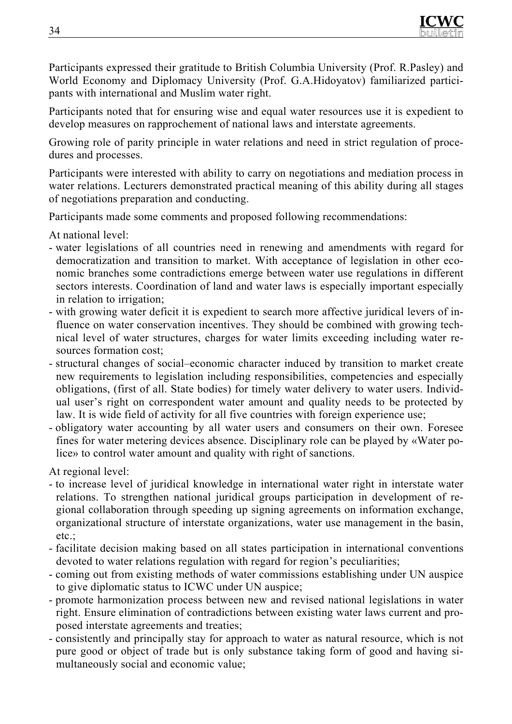

Participants expressed their gratitude to British Columbia University (Prof. R.Pasley) and World Economy and Diplomacy University (Prof. G.A.Hidoyatov) familiarized participants with international and Muslim water right.

Participants noted that for ensuring wise and equal water resources use it is expedient to develop measures on rapprochement of national laws and interstate agreements.

Growing role of parity principle in water relations and need in strict regulation of procedures and processes.

Participants were interested with ability to carry on negotiations and mediation process in water relations. Lecturers demonstrated practical meaning of this ability during all stages of negotiations preparation and conducting.

Participants made some comments and proposed following recommendations:

At national level:

- water legislations of all countries need in renewing and amendments with regard for democratization and transition to market. With acceptance of legislation in other economic branches some contradictions emerge between water use regulations in different sectors interests. Coordination of land and water laws is especially important especially in relation to irrigation;
- with growing water deficit it is expedient to search more affective juridical levers of influence on water conservation incentives. They should be combined with growing technical level of water structures, charges for water limits exceeding including water resources formation cost;
- structural changes of social–economic character induced by transition to market create new requirements to legislation including responsibilities, competencies and especially obligations, (first of all. State bodies) for timely water delivery to water users. Individual user's right on correspondent water amount and quality needs to be protected by law. It is wide field of activity for all five countries with foreign experience use;
- obligatory water accounting by all water users and consumers on their own. Foresee fines for water metering devices absence. Disciplinary role can be played by «Water police» to control water amount and quality with right of sanctions.

At regional level:

- to increase level of juridical knowledge in international water right in interstate water relations. To strengthen national juridical groups participation in development of regional collaboration through speeding up signing agreements on information exchange, organizational structure of interstate organizations, water use management in the basin, etc.:
- facilitate decision making based on all states participation in international conventions devoted to water relations regulation with regard for region's peculiarities;
- coming out from existing methods of water commissions establishing under UN auspice to give diplomatic status to ICWC under UN auspice;
- promote harmonization process between new and revised national legislations in water right. Ensure elimination of contradictions between existing water laws current and proposed interstate agreements and treaties;
- consistently and principally stay for approach to water as natural resource, which is not pure good or object of trade but is only substance taking form of good and having simultaneously social and economic value;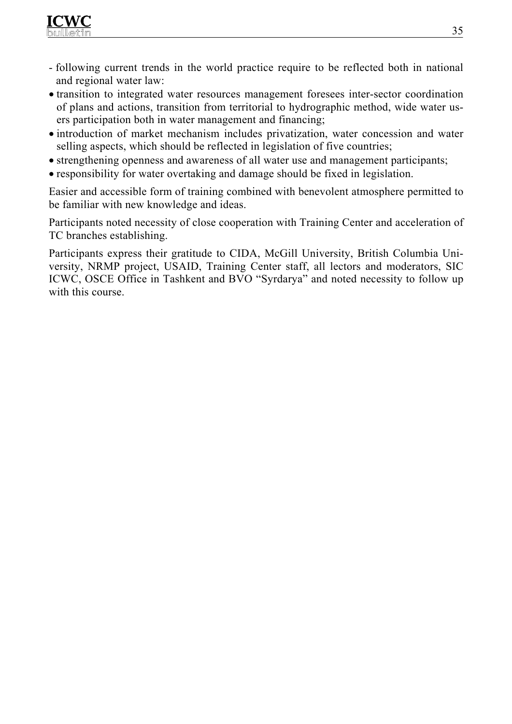

- following current trends in the world practice require to be reflected both in national and regional water law:
- transition to integrated water resources management foresees inter-sector coordination of plans and actions, transition from territorial to hydrographic method, wide water users participation both in water management and financing;
- introduction of market mechanism includes privatization, water concession and water selling aspects, which should be reflected in legislation of five countries;
- strengthening openness and awareness of all water use and management participants;
- responsibility for water overtaking and damage should be fixed in legislation.

Easier and accessible form of training combined with benevolent atmosphere permitted to be familiar with new knowledge and ideas.

Participants noted necessity of close cooperation with Training Center and acceleration of TC branches establishing.

Participants express their gratitude to CIDA, McGill University, British Columbia University, NRMP project, USAID, Training Center staff, all lectors and moderators, SIC ICWC, OSCE Office in Tashkent and BVO "Syrdarya" and noted necessity to follow up with this course.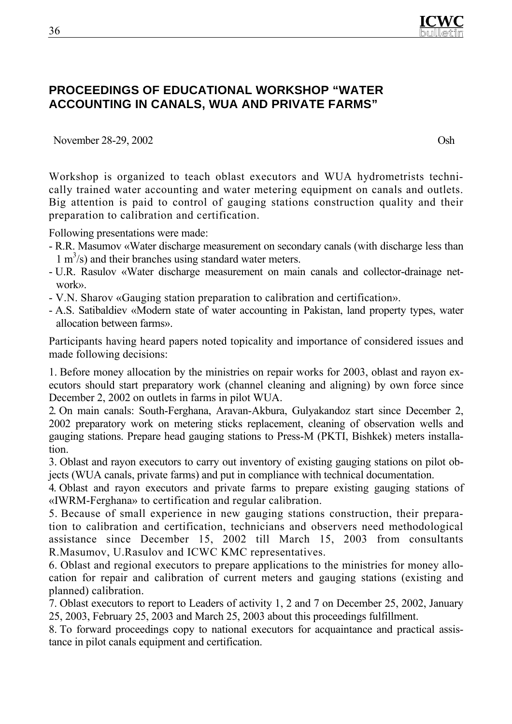

## **PROCEEDINGS OF EDUCATIONAL WORKSHOP "WATER ACCOUNTING IN CANALS, WUA AND PRIVATE FARMS"**

November 28-29, 2002 Osh

Workshop is organized to teach oblast executors and WUA hydrometrists technically trained water accounting and water metering equipment on canals and outlets. Big attention is paid to control of gauging stations construction quality and their preparation to calibration and certification.

Following presentations were made:

- R.R. Мasumov «Water discharge measurement on secondary canals (with discharge less than  $1 \text{ m}^3$ /s) and their branches using standard water meters.
- U.R. Rasulov «Water discharge measurement on main canals and collector-drainage network».
- V.N. Sharov «Gauging station preparation to calibration and certification».
- А.S. Satibaldiev «Modern state of water accounting in Pakistan, land property types, water allocation between farms».

Participants having heard papers noted topicality and importance of considered issues and made following decisions:

1. Before money allocation by the ministries on repair works for 2003, oblast and rayon executors should start preparatory work (channel cleaning and aligning) by own force since December 2, 2002 on outlets in farms in pilot WUA.

2. On main canals: South-Ferghana, Aravan-Akbura, Gulyakandoz start since December 2, 2002 preparatory work on metering sticks replacement, cleaning of observation wells and gauging stations. Prepare head gauging stations to Press-M (PKTI, Bishkek) meters installation.

3. Oblast and rayon executors to carry out inventory of existing gauging stations on pilot objects (WUA canals, private farms) and put in compliance with technical documentation.

4. Oblast and rayon executors and private farms to prepare existing gauging stations of «IWRM-Ferghana» to certification and regular calibration.

5. Because of small experience in new gauging stations construction, their preparation to calibration and certification, technicians and observers need methodological assistance since December 15, 2002 till March 15, 2003 from consultants R.Masumov, U.Rasulov and ICWC KMC representatives.

6. Oblast and regional executors to prepare applications to the ministries for money allocation for repair and calibration of current meters and gauging stations (existing and planned) calibration.

7. Oblast executors to report to Leaders of activity 1, 2 and 7 on December 25, 2002, January 25, 2003, February 25, 2003 and March 25, 2003 about this proceedings fulfillment.

8. To forward proceedings copy to national executors for acquaintance and practical assistance in pilot canals equipment and certification.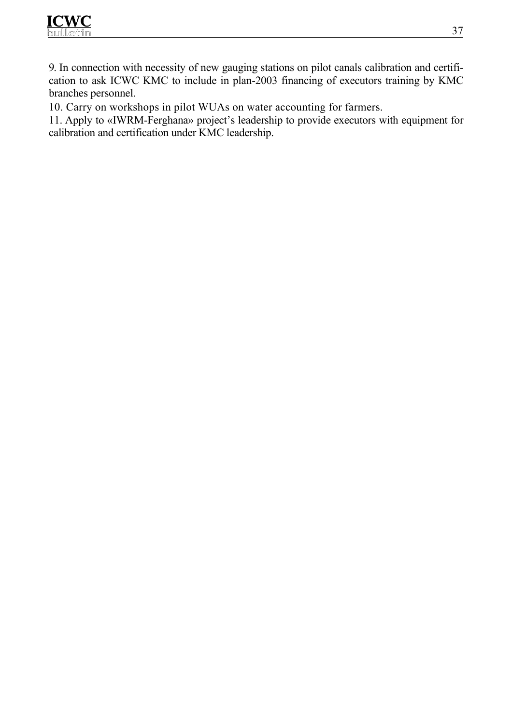

9. In connection with necessity of new gauging stations on pilot canals calibration and certification to ask ICWC KMC to include in plan-2003 financing of executors training by KMC branches personnel.

10. Carry on workshops in pilot WUAs on water accounting for farmers.

11. Apply to «IWRM-Ferghana» project's leadership to provide executors with equipment for calibration and certification under KMC leadership.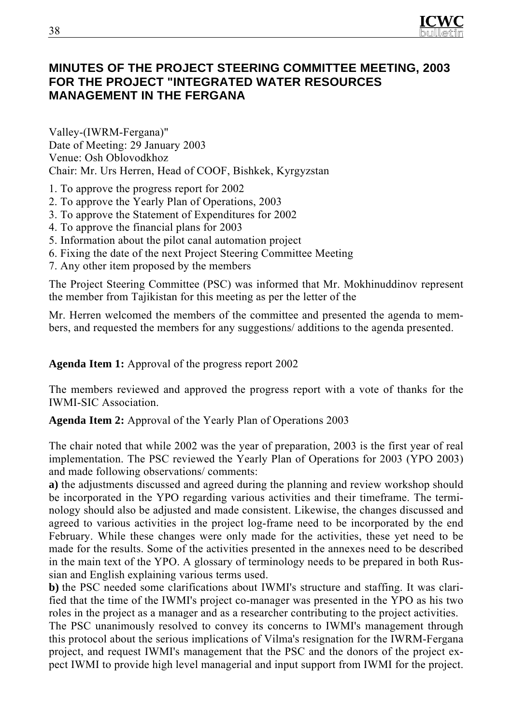

## **MINUTES OF THE PROJECT STEERING COMMITTEE MEETING, 2003 FOR THE PROJECT "INTEGRATED WATER RESOURCES MANAGEMENT IN THE FERGANA**

Valley-(IWRM-Fergana)" Date of Meeting: 29 January 2003 Venue: Osh Oblovodkhoz Chair: Mr. Urs Herren, Head of COOF, Bishkek, Kyrgyzstan

- 1. To approve the progress report for 2002
- 2. To approve the Yearly Plan of Operations, 2003
- 3. To approve the Statement of Expenditures for 2002
- 4. To approve the financial plans for 2003
- 5. Information about the pilot canal automation project
- 6. Fixing the date of the next Project Steering Committee Meeting
- 7. Any other item proposed by the members

The Project Steering Committee (PSC) was informed that Mr. Mokhinuddinov represent the member from Tajikistan for this meeting as per the letter of the

Mr. Herren welcomed the members of the committee and presented the agenda to members, and requested the members for any suggestions/ additions to the agenda presented.

**Agenda Item 1:** Approval of the progress report 2002

The members reviewed and approved the progress report with a vote of thanks for the IWMI-SIC Association.

**Agenda Item 2:** Approval of the Yearly Plan of Operations 2003

The chair noted that while 2002 was the year of preparation, 2003 is the first year of real implementation. The PSC reviewed the Yearly Plan of Operations for 2003 (YPO 2003) and made following observations/ comments:

**a)** the adjustments discussed and agreed during the planning and review workshop should be incorporated in the YPO regarding various activities and their timeframe. The terminology should also be adjusted and made consistent. Likewise, the changes discussed and agreed to various activities in the project log-frame need to be incorporated by the end February. While these changes were only made for the activities, these yet need to be made for the results. Some of the activities presented in the annexes need to be described in the main text of the YPO. A glossary of terminology needs to be prepared in both Russian and English explaining various terms used.

**b)** the PSC needed some clarifications about IWMI's structure and staffing. It was clarified that the time of the IWMI's project co-manager was presented in the YPO as his two roles in the project as a manager and as a researcher contributing to the project activities.

The PSC unanimously resolved to convey its concerns to IWMI's management through this protocol about the serious implications of Vilma's resignation for the IWRM-Fergana project, and request IWMI's management that the PSC and the donors of the project expect IWMI to provide high level managerial and input support from IWMI for the project.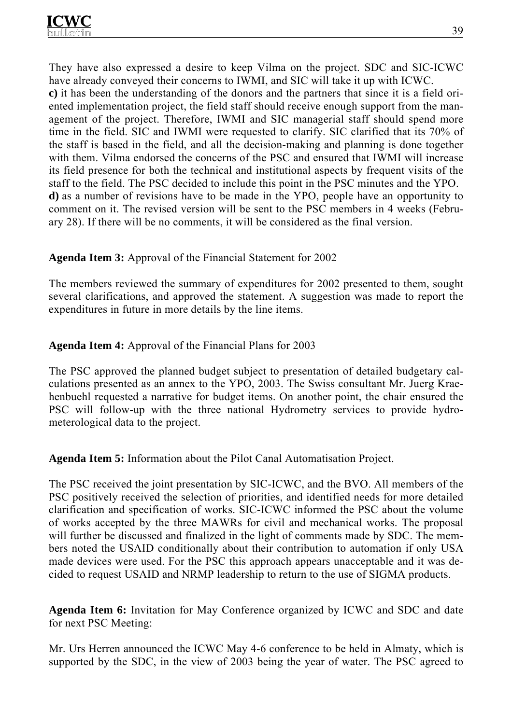They have also expressed a desire to keep Vilma on the project. SDC and SIC-ICWC have already conveyed their concerns to IWMI, and SIC will take it up with ICWC. **c)** it has been the understanding of the donors and the partners that since it is a field oriented implementation project, the field staff should receive enough support from the management of the project. Therefore, IWMI and SIC managerial staff should spend more time in the field. SIC and IWMI were requested to clarify. SIC clarified that its 70% of the staff is based in the field, and all the decision-making and planning is done together with them. Vilma endorsed the concerns of the PSC and ensured that IWMI will increase its field presence for both the technical and institutional aspects by frequent visits of the staff to the field. The PSC decided to include this point in the PSC minutes and the YPO. **d)** as a number of revisions have to be made in the YPO, people have an opportunity to comment on it. The revised version will be sent to the PSC members in 4 weeks (February 28). If there will be no comments, it will be considered as the final version.

## **Agenda Item 3:** Approval of the Financial Statement for 2002

The members reviewed the summary of expenditures for 2002 presented to them, sought several clarifications, and approved the statement. A suggestion was made to report the expenditures in future in more details by the line items.

#### **Agenda Item 4:** Approval of the Financial Plans for 2003

The PSC approved the planned budget subject to presentation of detailed budgetary calculations presented as an annex to the YPO, 2003. The Swiss consultant Mr. Juerg Kraehenbuehl requested a narrative for budget items. On another point, the chair ensured the PSC will follow-up with the three national Hydrometry services to provide hydrometerological data to the project.

**Agenda Item 5:** Information about the Pilot Canal Automatisation Project.

The PSC received the joint presentation by SIC-ICWC, and the BVO. All members of the PSC positively received the selection of priorities, and identified needs for more detailed clarification and specification of works. SIC-ICWC informed the PSC about the volume of works accepted by the three MAWRs for civil and mechanical works. The proposal will further be discussed and finalized in the light of comments made by SDC. The members noted the USAID conditionally about their contribution to automation if only USA made devices were used. For the PSC this approach appears unacceptable and it was decided to request USAID and NRMP leadership to return to the use of SIGMA products.

**Agenda Item 6:** Invitation for May Conference organized by ICWC and SDC and date for next PSC Meeting:

Mr. Urs Herren announced the ICWC May 4-6 conference to be held in Almaty, which is supported by the SDC, in the view of 2003 being the year of water. The PSC agreed to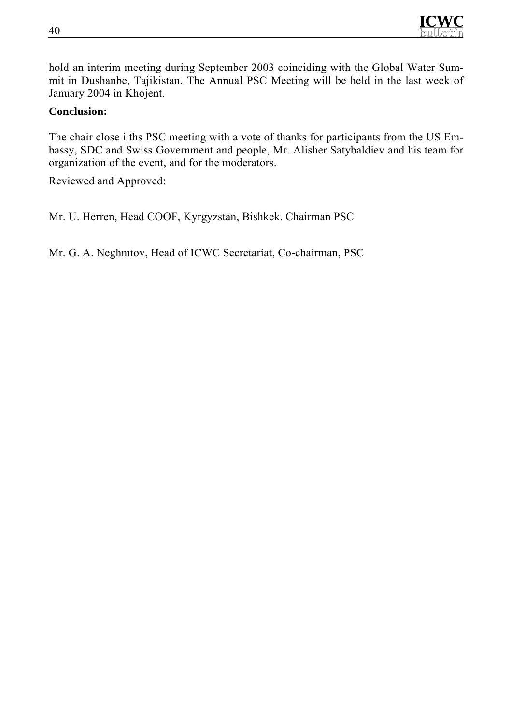

hold an interim meeting during September 2003 coinciding with the Global Water Summit in Dushanbe, Tajikistan. The Annual PSC Meeting will be held in the last week of January 2004 in Khojent.

#### **Conclusion:**

The chair close i ths PSC meeting with a vote of thanks for participants from the US Embassy, SDC and Swiss Government and people, Mr. Alisher Satybaldiev and his team for organization of the event, and for the moderators.

Reviewed and Approved:

Mr. U. Herren, Head COOF, Kyrgyzstan, Bishkek. Chairman PSC

Mr. G. A. Neghmtov, Head of ICWC Secretariat, Co-chairman, PSC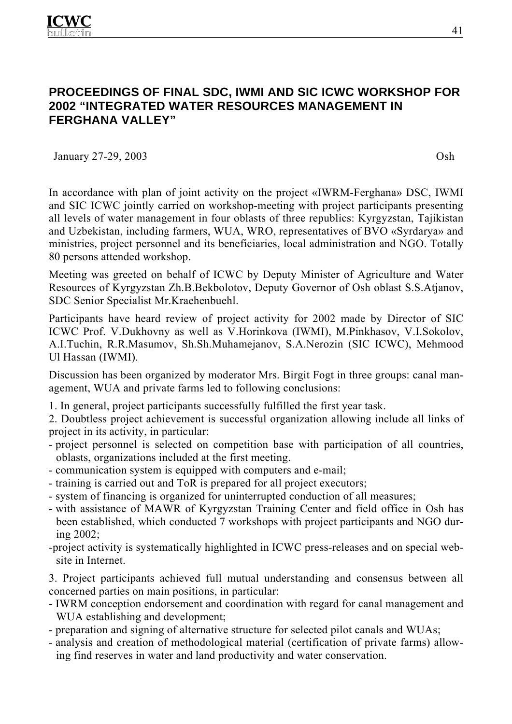## **PROCEEDINGS OF FINAL SDC, IWMI AND SIC ICWC WORKSHOP FOR 2002 "INTEGRATED WATER RESOURCES MANAGEMENT IN FERGHANA VALLEY"**

January 27-29, 2003 Osh

In accordance with plan of joint activity on the project «IWRM-Ferghana» DSC, IWMI and SIC ICWC jointly carried on workshop-meeting with project participants presenting all levels of water management in four oblasts of three republics: Kyrgyzstan, Tajikistan and Uzbekistan, including farmers, WUA, WRO, representatives of BVO «Syrdarya» and ministries, project personnel and its beneficiaries, local administration and NGO. Totally 80 persons attended workshop.

Meeting was greeted on behalf of ICWC by Deputy Minister of Agriculture and Water Resources of Kyrgyzstan Zh.B.Bekbolotov, Deputy Governor of Osh oblast S.S.Atjanov, SDC Senior Specialist Mr.Kraehenbuehl.

Participants have heard review of project activity for 2002 made by Director of SIC ICWC Prof. V.Dukhovny as well as V.Horinkova (IWMI), M.Pinkhasov, V.I.Sokolov, A.I.Tuchin, R.R.Masumov, Sh.Sh.Muhamejanov, S.A.Nerozin (SIC ICWC), Mehmood Ul Hassan (IWMI).

Discussion has been organized by moderator Mrs. Birgit Fogt in three groups: canal management, WUA and private farms led to following conclusions:

1. In general, project participants successfully fulfilled the first year task.

2. Doubtless project achievement is successful organization allowing include all links of project in its activity, in particular:

- project personnel is selected on competition base with participation of all countries, oblasts, organizations included at the first meeting.
- communication system is equipped with computers and e-mail;
- training is carried out and ToR is prepared for all project executors;
- system of financing is organized for uninterrupted conduction of all measures;
- with assistance of MAWR of Kyrgyzstan Training Center and field office in Osh has been established, which conducted 7 workshops with project participants and NGO during 2002;
- -project activity is systematically highlighted in ICWC press-releases and on special website in Internet.

3. Project participants achieved full mutual understanding and consensus between all concerned parties on main positions, in particular:

- IWRM conception endorsement and coordination with regard for canal management and WUA establishing and development;
- preparation and signing of alternative structure for selected pilot canals and WUAs;
- analysis and creation of methodological material (certification of private farms) allowing find reserves in water and land productivity and water conservation.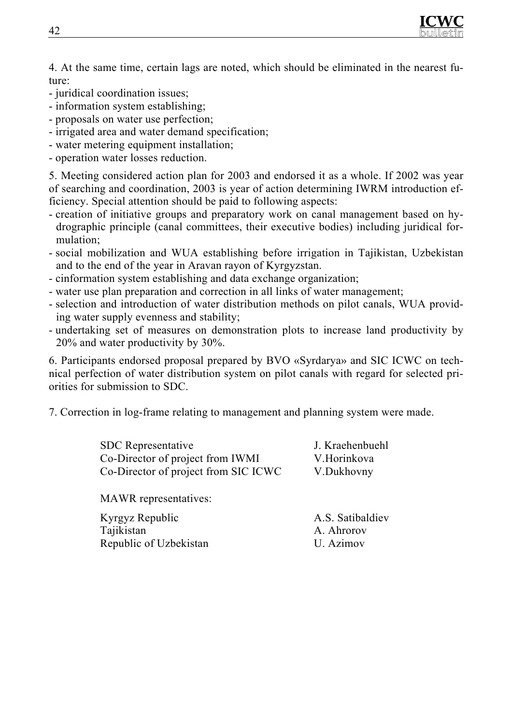

4. At the same time, certain lags are noted, which should be eliminated in the nearest future:

- juridical coordination issues;
- information system establishing;
- proposals on water use perfection;
- irrigated area and water demand specification;
- water metering equipment installation;
- operation water losses reduction.

5. Meeting considered action plan for 2003 and endorsed it as a whole. If 2002 was year of searching and coordination, 2003 is year of action determining IWRM introduction efficiency. Special attention should be paid to following aspects:

- creation of initiative groups and preparatory work on canal management based on hydrographic principle (canal committees, their executive bodies) including juridical formulation;
- social mobilization and WUA establishing before irrigation in Tajikistan, Uzbekistan and to the end of the year in Aravan rayon of Kyrgyzstan.
- сinformation system establishing and data exchange organization;
- water use plan preparation and correction in all links of water management;
- selection and introduction of water distribution methods on pilot canals, WUA providing water supply evenness and stability;
- undertaking set of measures on demonstration plots to increase land productivity by 20% and water productivity by 30%.

6. Participants endorsed proposal prepared by BVO «Syrdarya» and SIC ICWC on technical perfection of water distribution system on pilot canals with regard for selected priorities for submission to SDC.

7. Correction in log-frame relating to management and planning system were made.

| <b>SDC</b> Representative<br>Co-Director of project from IWMI<br>Co-Director of project from SIC ICWC | J. Kraehenbuehl |  |
|-------------------------------------------------------------------------------------------------------|-----------------|--|
|                                                                                                       | V.Horinkova     |  |
|                                                                                                       | V.Dukhovny      |  |

MAWR representatives:

Kyrgyz Republic Tajikistan Republic of Uzbekistan А.S. Satibaldiev А. Аhrorov U. Аzimov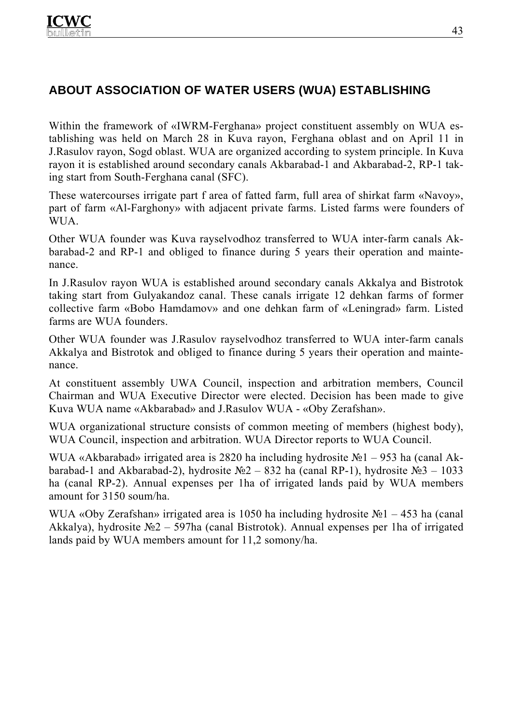# **ABOUT ASSOCIATION OF WATER USERS (WUA) ESTABLISHING**

Within the framework of «IWRM-Ferghana» project constituent assembly on WUA establishing was held on March 28 in Kuva rayon, Ferghana oblast and on April 11 in J.Rasulov rayon, Sogd oblast. WUA are organized according to system principle. In Kuva rayon it is established around secondary canals Akbarabad-1 and Akbarabad-2, RP-1 taking start from South-Ferghana canal (SFC).

These watercourses irrigate part f area of fatted farm, full area of shirkat farm «Navoy», part of farm «Al-Farghony» with adjacent private farms. Listed farms were founders of WUA.

Other WUA founder was Kuva rayselvodhoz transferred to WUA inter-farm canals Akbarabad-2 and RP-1 and obliged to finance during 5 years their operation and maintenance.

In J.Rasulov rayon WUA is established around secondary canals Akkalya and Bistrotok taking start from Gulyakandoz canal. These canals irrigate 12 dehkan farms of former collective farm «Bobo Hamdamov» and one dehkan farm of «Leningrad» farm. Listed farms are WUA founders.

Other WUA founder was J.Rasulov rayselvodhoz transferred to WUA inter-farm canals Akkalya and Bistrotok and obliged to finance during 5 years their operation and maintenance.

At constituent assembly UWA Council, inspection and arbitration members, Council Chairman and WUA Executive Director were elected. Decision has been made to give Kuva WUA name «Akbarabad» and J.Rasulov WUA - «Oby Zerafshan».

WUA organizational structure consists of common meeting of members (highest body), WUA Council, inspection and arbitration. WUA Director reports to WUA Council.

WUA «Аkbarabad» irrigated area is 2820 ha including hydrosite №1 – 953 ha (canal Аkbarabad-1 and Akbarabad-2), hydrosite №2 – 832 ha (canal RP-1), hydrosite №3 – 1033 ha (canal RP-2). Annual expenses per 1ha of irrigated lands paid by WUA members amount for 3150 soum/ha.

WUA «Oby Zerafshan» irrigated area is 1050 ha including hydrosite №1 – 453 ha (canal Аkkalya), hydrosite №2 – 597ha (canal Bistrotok). Annual expenses per 1ha of irrigated lands paid by WUA members amount for 11,2 somony/ha.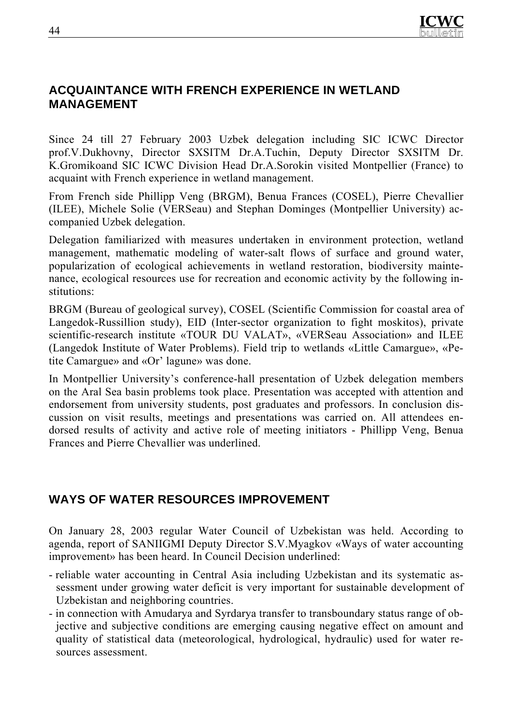# **ACQUAINTANCE WITH FRENCH EXPERIENCE IN WETLAND MANAGEMENT**

Since 24 till 27 February 2003 Uzbek delegation including SIC ICWC Director prof.V.Dukhovny, Director SXSITM Dr.A.Tuchin, Deputy Director SXSITM Dr. K.Gromikoand SIC ICWC Division Head Dr.A.Sorokin visited Montpellier (France) to acquaint with French experience in wetland management.

From French side Phillipp Veng (BRGM), Benua Frances (COSEL), Pierre Chevallier (ILEE), Michele Solie (VERSeau) and Stephan Dominges (Montpellier University) accompanied Uzbek delegation.

Delegation familiarized with measures undertaken in environment protection, wetland management, mathematic modeling of water-salt flows of surface and ground water, popularization of ecological achievements in wetland restoration, biodiversity maintenance, ecological resources use for recreation and economic activity by the following institutions:

BRGM (Bureau of geological survey), COSEL (Scientific Commission for coastal area of Langedok-Russillion study), EID (Inter-sector organization to fight moskitos), private scientific-research institute «TOUR DU VALAT», «VERSeau Association» and ILEE (Langedok Institute of Water Problems). Field trip to wetlands «Little Camargue», «Petite Camargue» and «Or' lagune» was done.

In Montpellier University's conference-hall presentation of Uzbek delegation members on the Aral Sea basin problems took place. Presentation was accepted with attention and endorsement from university students, post graduates and professors. In conclusion discussion on visit results, meetings and presentations was carried on. All attendees endorsed results of activity and active role of meeting initiators - Phillipp Veng, Benua Frances and Pierre Chevallier was underlined.

## **WAYS OF WATER RESOURCES IMPROVEMENT**

On January 28, 2003 regular Water Council of Uzbekistan was held. According to agenda, report of SANIIGMI Deputy Director S.V.Myagkov «Ways of water accounting improvement» has been heard. In Council Decision underlined:

- reliable water accounting in Central Asia including Uzbekistan and its systematic assessment under growing water deficit is very important for sustainable development of Uzbekistan and neighboring countries.
- in connection with Amudarya and Syrdarya transfer to transboundary status range of objective and subjective conditions are emerging causing negative effect on amount and quality of statistical data (meteorological, hydrological, hydraulic) used for water resources assessment.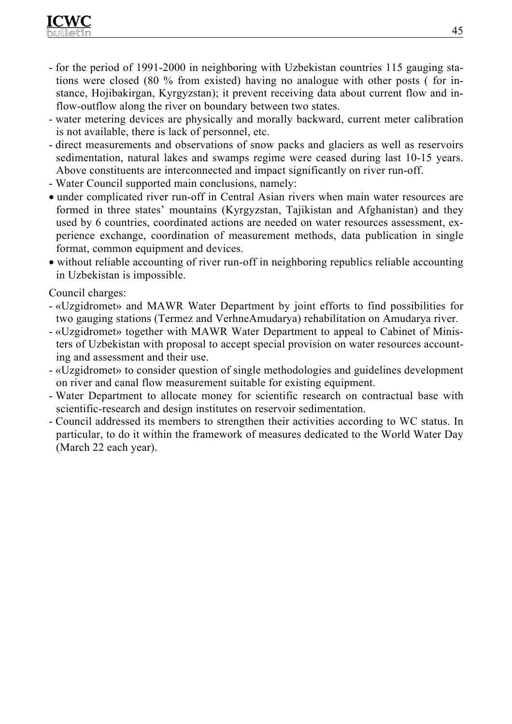- for the period of 1991-2000 in neighboring with Uzbekistan countries 115 gauging stations were closed (80 % from existed) having no analogue with other posts ( for instance, Hojibakirgan, Kyrgyzstan); it prevent receiving data about current flow and inflow-outflow along the river on boundary between two states.
- water metering devices are physically and morally backward, current meter calibration is not available, there is lack of personnel, etc.
- direct measurements and observations of snow packs and glaciers as well as reservoirs sedimentation, natural lakes and swamps regime were ceased during last 10-15 years. Above constituents are interconnected and impact significantly on river run-off.
- Water Council supported main conclusions, namely:
- under complicated river run-off in Central Asian rivers when main water resources are formed in three states' mountains (Kyrgyzstan, Tajikistan and Afghanistan) and they used by 6 countries, coordinated actions are needed on water resources assessment, experience exchange, coordination of measurement methods, data publication in single format, common equipment and devices.
- without reliable accounting of river run-off in neighboring republics reliable accounting in Uzbekistan is impossible.

Council charges:

- «Uzgidromet» and MAWR Water Department by joint efforts to find possibilities for two gauging stations (Termez and VerhneAmudarya) rehabilitation on Amudarya river.
- «Uzgidromet» together with MAWR Water Department to appeal to Cabinet of Ministers of Uzbekistan with proposal to accept special provision on water resources accounting and assessment and their use.
- «Uzgidromet» to consider question of single methodologies and guidelines development on river and canal flow measurement suitable for existing equipment.
- Water Department to allocate money for scientific research on contractual base with scientific-research and design institutes on reservoir sedimentation.
- Council addressed its members to strengthen their activities according to WC status. In particular, to do it within the framework of measures dedicated to the World Water Day (March 22 each year).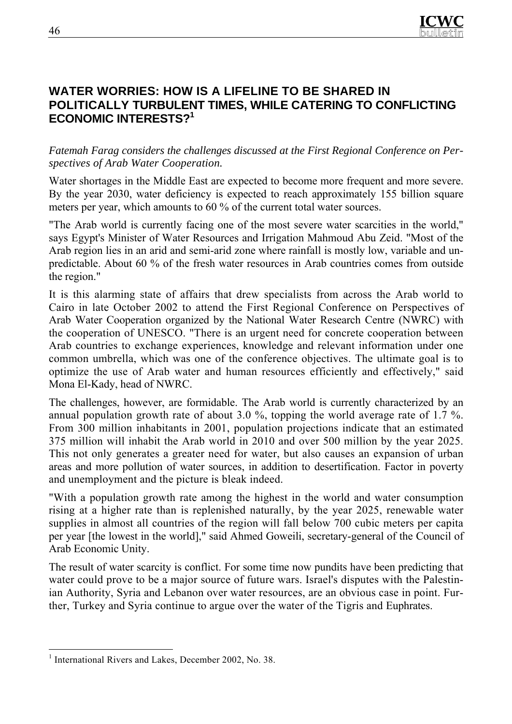

## **WATER WORRIES: HOW IS A LIFELINE TO BE SHARED IN POLITICALLY TURBULENT TIMES, WHILE CATERING TO CONFLICTING ECONOMIC INTERESTS?1**

*Fatemah Farag considers the challenges discussed at the First Regional Conference on Perspectives of Arab Water Cooperation.*

Water shortages in the Middle East are expected to become more frequent and more severe. By the year 2030, water deficiency is expected to reach approximately 155 billion square meters per year, which amounts to 60 % of the current total water sources.

"The Arab world is currently facing one of the most severe water scarcities in the world," says Egypt's Minister of Water Resources and Irrigation Mahmoud Abu Zeid. "Most of the Arab region lies in an arid and semi-arid zone where rainfall is mostly low, variable and unpredictable. About 60 % of the fresh water resources in Arab countries comes from outside the region."

It is this alarming state of affairs that drew specialists from across the Arab world to Cairo in late October 2002 to attend the First Regional Conference on Perspectives of Arab Water Cooperation organized by the National Water Research Centre (NWRC) with the cooperation of UNESCO. "There is an urgent need for concrete cooperation between Arab countries to exchange experiences, knowledge and relevant information under one common umbrella, which was one of the conference objectives. The ultimate goal is to optimize the use of Arab water and human resources efficiently and effectively," said Mona El-Kady, head of NWRC.

The challenges, however, are formidable. The Arab world is currently characterized by an annual population growth rate of about 3.0 %, topping the world average rate of 1.7 %. From 300 million inhabitants in 2001, population projections indicate that an estimated 375 million will inhabit the Arab world in 2010 and over 500 million by the year 2025. This not only generates a greater need for water, but also causes an expansion of urban areas and more pollution of water sources, in addition to desertification. Factor in poverty and unemployment and the picture is bleak indeed.

"With a population growth rate among the highest in the world and water consumption rising at a higher rate than is replenished naturally, by the year 2025, renewable water supplies in almost all countries of the region will fall below 700 cubic meters per capita per year [the lowest in the world]," said Ahmed Goweili, secretary-general of the Council of Arab Economic Unity.

The result of water scarcity is conflict. For some time now pundits have been predicting that water could prove to be a major source of future wars. Israel's disputes with the Palestinian Authority, Syria and Lebanon over water resources, are an obvious case in point. Further, Turkey and Syria continue to argue over the water of the Tigris and Euphrates.

 $\overline{a}$ 

<sup>&</sup>lt;sup>1</sup> International Rivers and Lakes, December 2002, No. 38.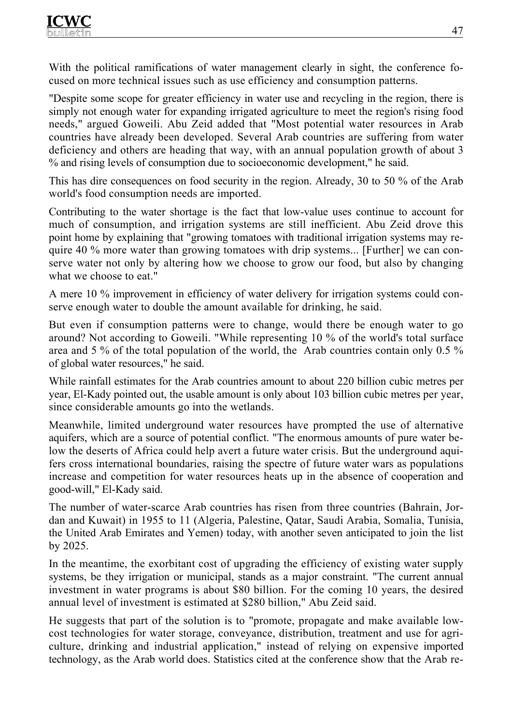With the political ramifications of water management clearly in sight, the conference focused on more technical issues such as use efficiency and consumption patterns.

"Despite some scope for greater efficiency in water use and recycling in the region, there is simply not enough water for expanding irrigated agriculture to meet the region's rising food needs," argued Goweili. Abu Zeid added that "Most potential water resources in Arab countries have already been developed. Several Arab countries are suffering from water deficiency and others are heading that way, with an annual population growth of about 3 % and rising levels of consumption due to socioeconomic development," he said.

This has dire consequences on food security in the region. Already, 30 to 50 % of the Arab world's food consumption needs are imported.

Contributing to the water shortage is the fact that low-value uses continue to account for much of consumption, and irrigation systems are still inefficient. Abu Zeid drove this point home by explaining that "growing tomatoes with traditional irrigation systems may require 40 % more water than growing tomatoes with drip systems... [Further] we can conserve water not only by altering how we choose to grow our food, but also by changing what we choose to eat."

A mere 10 % improvement in efficiency of water delivery for irrigation systems could conserve enough water to double the amount available for drinking, he said.

But even if consumption patterns were to change, would there be enough water to go around? Not according to Goweili. "While representing 10 % of the world's total surface area and 5 % of the total population of the world, the Arab countries contain only 0.5 % of global water resources," he said.

While rainfall estimates for the Arab countries amount to about 220 billion cubic metres per year, El-Kady pointed out, the usable amount is only about 103 billion cubic metres per year, since considerable amounts go into the wetlands.

Meanwhile, limited underground water resources have prompted the use of alternative aquifers, which are a source of potential conflict. "The enormous amounts of pure water below the deserts of Africa could help avert a future water crisis. But the underground aquifers cross international boundaries, raising the spectre of future water wars as populations increase and competition for water resources heats up in the absence of cooperation and good-will," El-Kady said.

The number of water-scarce Arab countries has risen from three countries (Bahrain, Jordan and Kuwait) in 1955 to 11 (Algeria, Palestine, Qatar, Saudi Arabia, Somalia, Tunisia, the United Arab Emirates and Yemen) today, with another seven anticipated to join the list by 2025.

In the meantime, the exorbitant cost of upgrading the efficiency of existing water supply systems, be they irrigation or municipal, stands as a major constraint. "The current annual investment in water programs is about \$80 billion. For the coming 10 years, the desired annual level of investment is estimated at \$280 billion," Abu Zeid said.

He suggests that part of the solution is to "promote, propagate and make available lowcost technologies for water storage, conveyance, distribution, treatment and use for agriculture, drinking and industrial application," instead of relying on expensive imported technology, as the Arab world does. Statistics cited at the conference show that the Arab re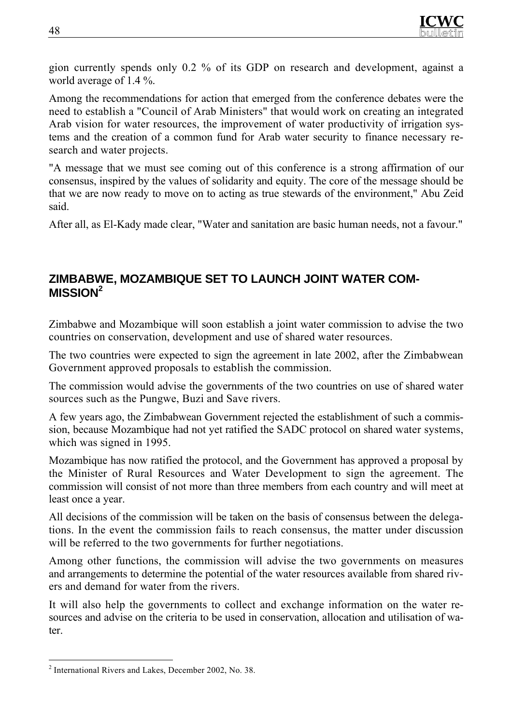gion currently spends only 0.2 % of its GDP on research and development, against a world average of 1.4 %.

Among the recommendations for action that emerged from the conference debates were the need to establish a "Council of Arab Ministers" that would work on creating an integrated Arab vision for water resources, the improvement of water productivity of irrigation systems and the creation of a common fund for Arab water security to finance necessary research and water projects.

"A message that we must see coming out of this conference is a strong affirmation of our consensus, inspired by the values of solidarity and equity. The core of the message should be that we are now ready to move on to acting as true stewards of the environment," Abu Zeid said.

After all, as El-Kady made clear, "Water and sanitation are basic human needs, not a favour."

## **ZIMBABWE, MOZAMBIQUE SET TO LAUNCH JOINT WATER COM-MISSION2**

Zimbabwe and Mozambique will soon establish a joint water commission to advise the two countries on conservation, development and use of shared water resources.

The two countries were expected to sign the agreement in late 2002, after the Zimbabwean Government approved proposals to establish the commission.

The commission would advise the governments of the two countries on use of shared water sources such as the Pungwe, Buzi and Save rivers.

A few years ago, the Zimbabwean Government rejected the establishment of such a commission, because Mozambique had not yet ratified the SADC protocol on shared water systems, which was signed in 1995.

Mozambique has now ratified the protocol, and the Government has approved a proposal by the Minister of Rural Resources and Water Development to sign the agreement. The commission will consist of not more than three members from each country and will meet at least once a year.

All decisions of the commission will be taken on the basis of consensus between the delegations. In the event the commission fails to reach consensus, the matter under discussion will be referred to the two governments for further negotiations.

Among other functions, the commission will advise the two governments on measures and arrangements to determine the potential of the water resources available from shared rivers and demand for water from the rivers.

It will also help the governments to collect and exchange information on the water resources and advise on the criteria to be used in conservation, allocation and utilisation of water.

 $\overline{a}$ 2 International Rivers and Lakes, December 2002, No. 38.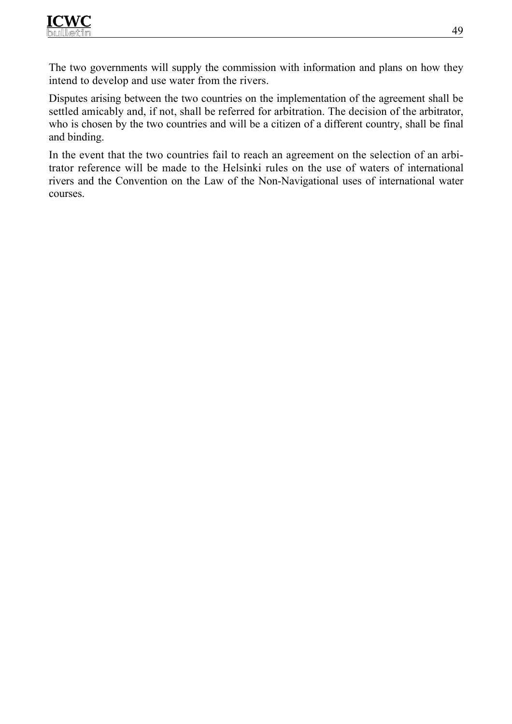The two governments will supply the commission with information and plans on how they intend to develop and use water from the rivers.

Disputes arising between the two countries on the implementation of the agreement shall be settled amicably and, if not, shall be referred for arbitration. The decision of the arbitrator, who is chosen by the two countries and will be a citizen of a different country, shall be final and binding.

In the event that the two countries fail to reach an agreement on the selection of an arbitrator reference will be made to the Helsinki rules on the use of waters of international rivers and the Convention on the Law of the Non-Navigational uses of international water courses.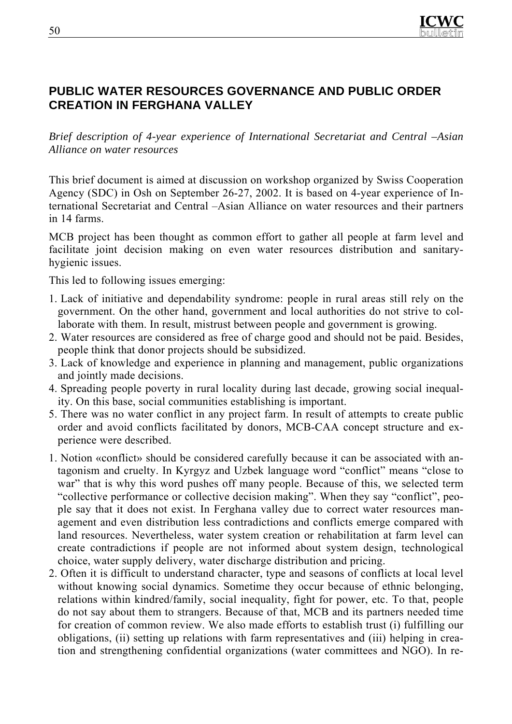

## **PUBLIC WATER RESOURCES GOVERNANCE AND PUBLIC ORDER CREATION IN FERGHANA VALLEY**

*Brief description of 4-year experience of International Secretariat and Central –Asian Alliance on water resources* 

This brief document is aimed at discussion on workshop organized by Swiss Cooperation Agency (SDC) in Osh on September 26-27, 2002. It is based on 4-year experience of International Secretariat and Central –Asian Alliance on water resources and their partners in 14 farms.

МСВ project has been thought as common effort to gather all people at farm level and facilitate joint decision making on even water resources distribution and sanitaryhygienic issues.

This led to following issues emerging:

- 1. Lack of initiative and dependability syndrome: people in rural areas still rely on the government. On the other hand, government and local authorities do not strive to collaborate with them. In result, mistrust between people and government is growing.
- 2. Water resources are considered as free of charge good and should not be paid. Besides, people think that donor projects should be subsidized.
- 3. Lack of knowledge and experience in planning and management, public organizations and jointly made decisions.
- 4. Spreading people poverty in rural locality during last decade, growing social inequality. On this base, social communities establishing is important.
- 5. There was no water conflict in any project farm. In result of attempts to create public order and avoid conflicts facilitated by donors, МСВ-CAA concept structure and experience were described.
- 1. Notion «conflict» should be considered carefully because it can be associated with antagonism and cruelty. In Kyrgyz and Uzbek language word "conflict" means "close to war" that is why this word pushes off many people. Because of this, we selected term "collective performance or collective decision making". When they say "conflict", people say that it does not exist. In Ferghana valley due to correct water resources management and even distribution less contradictions and conflicts emerge compared with land resources. Nevertheless, water system creation or rehabilitation at farm level can create contradictions if people are not informed about system design, technological choice, water supply delivery, water discharge distribution and pricing.
- 2. Often it is difficult to understand character, type and seasons of conflicts at local level without knowing social dynamics. Sometime they occur because of ethnic belonging, relations within kindred/family, social inequality, fight for power, etc. To that, people do not say about them to strangers. Because of that, MCB and its partners needed time for creation of common review. We also made efforts to establish trust (i) fulfilling our obligations, (ii) setting up relations with farm representatives and (iii) helping in creation and strengthening confidential organizations (water committees and NGO). In re-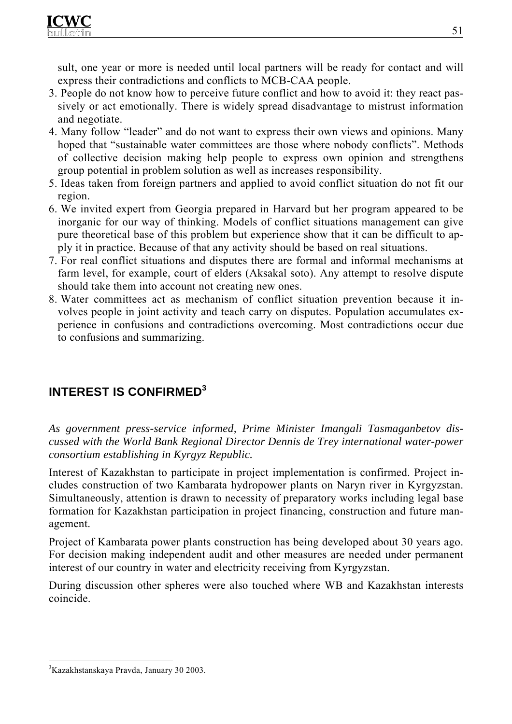sult, one year or more is needed until local partners will be ready for contact and will express their contradictions and conflicts to MCB-CAA people.

- 3. People do not know how to perceive future conflict and how to avoid it: they react passively or act emotionally. There is widely spread disadvantage to mistrust information and negotiate.
- 4. Many follow "leader" and do not want to express their own views and opinions. Many hoped that "sustainable water committees are those where nobody conflicts". Methods of collective decision making help people to express own opinion and strengthens group potential in problem solution as well as increases responsibility.
- 5. Ideas taken from foreign partners and applied to avoid conflict situation do not fit our region.
- 6. We invited expert from Georgia prepared in Harvard but her program appeared to be inorganic for our way of thinking. Models of conflict situations management can give pure theoretical base of this problem but experience show that it can be difficult to apply it in practice. Because of that any activity should be based on real situations.
- 7. For real conflict situations and disputes there are formal and informal mechanisms at farm level, for example, court of elders (Aksakal soto). Any attempt to resolve dispute should take them into account not creating new ones.
- 8. Water committees act as mechanism of conflict situation prevention because it involves people in joint activity and teach carry on disputes. Population accumulates experience in confusions and contradictions overcoming. Most contradictions occur due to confusions and summarizing.

# **INTEREST IS CONFIRMED<sup>3</sup>**

*As government press-service informed, Prime Minister Imangali Tasmaganbetov discussed with the World Bank Regional Director Dennis de Trey international water-power consortium establishing in Kyrgyz Republic.* 

Interest of Kazakhstan to participate in project implementation is confirmed. Project includes construction of two Kambarata hydropower plants on Naryn river in Kyrgyzstan. Simultaneously, attention is drawn to necessity of preparatory works including legal base formation for Kazakhstan participation in project financing, construction and future management.

Project of Kambarata power plants construction has being developed about 30 years ago. For decision making independent audit and other measures are needed under permanent interest of our country in water and electricity receiving from Kyrgyzstan.

During discussion other spheres were also touched where WB and Kazakhstan interests coincide.

 $\overline{a}$ 3 Kazakhstanskaya Pravda, January 30 2003.